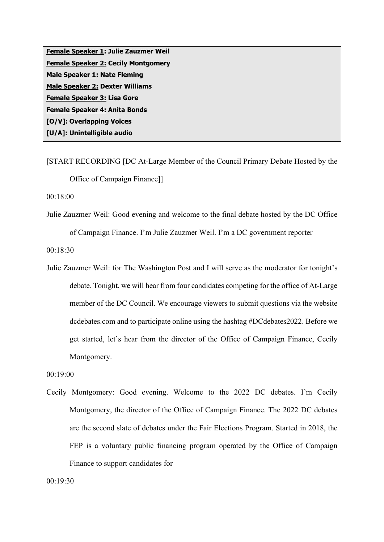**Female Speaker 1: Julie Zauzmer Weil Female Speaker 2: Cecily Montgomery Male Speaker 1: Nate Fleming Male Speaker 2: Dexter Williams Female Speaker 3: Lisa Gore Female Speaker 4: Anita Bonds [O/V]: Overlapping Voices [U/A]: Unintelligible audio**

[START RECORDING [DC At-Large Member of the Council Primary Debate Hosted by the Office of Campaign Finance]]

00:18:00

Julie Zauzmer Weil: Good evening and welcome to the final debate hosted by the DC Office of Campaign Finance. I'm Julie Zauzmer Weil. I'm a DC government reporter

00:18:30

Julie Zauzmer Weil: for The Washington Post and I will serve as the moderator for tonight's debate. Tonight, we will hear from four candidates competing for the office of At-Large member of the DC Council. We encourage viewers to submit questions via the website dcdebates.com and to participate online using the hashtag #DCdebates2022. Before we get started, let's hear from the director of the Office of Campaign Finance, Cecily Montgomery.

```
00:19:00
```
Cecily Montgomery: Good evening. Welcome to the 2022 DC debates. I'm Cecily Montgomery, the director of the Office of Campaign Finance. The 2022 DC debates are the second slate of debates under the Fair Elections Program. Started in 2018, the FEP is a voluntary public financing program operated by the Office of Campaign Finance to support candidates for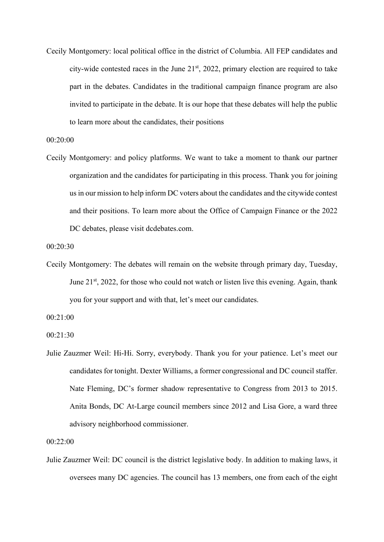Cecily Montgomery: local political office in the district of Columbia. All FEP candidates and city-wide contested races in the June  $21<sup>st</sup>$ , 2022, primary election are required to take part in the debates. Candidates in the traditional campaign finance program are also invited to participate in the debate. It is our hope that these debates will help the public to learn more about the candidates, their positions

00:20:00

Cecily Montgomery: and policy platforms. We want to take a moment to thank our partner organization and the candidates for participating in this process. Thank you for joining us in our mission to help inform DC voters about the candidates and the citywide contest and their positions. To learn more about the Office of Campaign Finance or the 2022 DC debates, please visit dcdebates.com.

```
00:20:30
```
Cecily Montgomery: The debates will remain on the website through primary day, Tuesday, June 21<sup>st</sup>, 2022, for those who could not watch or listen live this evening. Again, thank you for your support and with that, let's meet our candidates.

00:21:00

00:21:30

Julie Zauzmer Weil: Hi-Hi. Sorry, everybody. Thank you for your patience. Let's meet our candidates for tonight. Dexter Williams, a former congressional and DC council staffer. Nate Fleming, DC's former shadow representative to Congress from 2013 to 2015. Anita Bonds, DC At-Large council members since 2012 and Lisa Gore, a ward three advisory neighborhood commissioner.

00:22:00

Julie Zauzmer Weil: DC council is the district legislative body. In addition to making laws, it oversees many DC agencies. The council has 13 members, one from each of the eight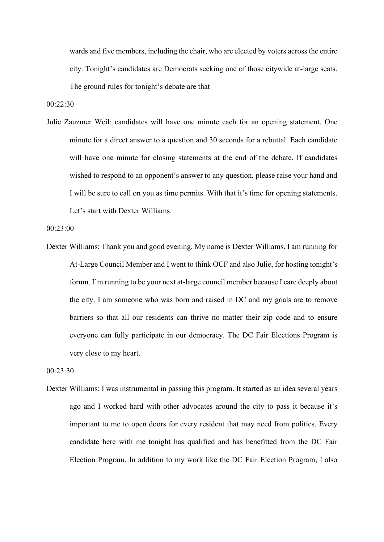wards and five members, including the chair, who are elected by voters across the entire city. Tonight's candidates are Democrats seeking one of those citywide at-large seats. The ground rules for tonight's debate are that

00:22:30

Julie Zauzmer Weil: candidates will have one minute each for an opening statement. One minute for a direct answer to a question and 30 seconds for a rebuttal. Each candidate will have one minute for closing statements at the end of the debate. If candidates wished to respond to an opponent's answer to any question, please raise your hand and I will be sure to call on you as time permits. With that it's time for opening statements. Let's start with Dexter Williams.

00:23:00

Dexter Williams: Thank you and good evening. My name is Dexter Williams. I am running for At-Large Council Member and I went to think OCF and also Julie, for hosting tonight's forum. I'm running to be your next at-large council member because I care deeply about the city. I am someone who was born and raised in DC and my goals are to remove barriers so that all our residents can thrive no matter their zip code and to ensure everyone can fully participate in our democracy. The DC Fair Elections Program is very close to my heart.

00:23:30

Dexter Williams: I was instrumental in passing this program. It started as an idea several years ago and I worked hard with other advocates around the city to pass it because it's important to me to open doors for every resident that may need from politics. Every candidate here with me tonight has qualified and has benefitted from the DC Fair Election Program. In addition to my work like the DC Fair Election Program, I also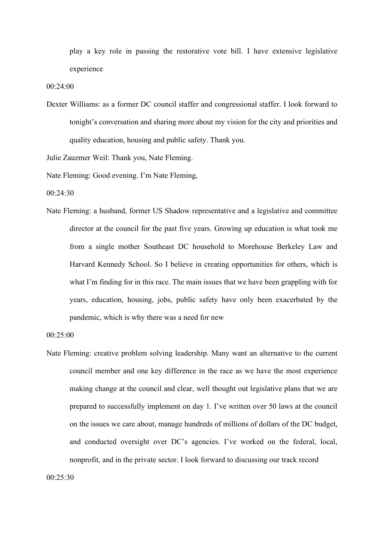play a key role in passing the restorative vote bill. I have extensive legislative experience

00:24:00

Dexter Williams: as a former DC council staffer and congressional staffer. I look forward to tonight's conversation and sharing more about my vision for the city and priorities and quality education, housing and public safety. Thank you.

Julie Zauzmer Weil: Thank you, Nate Fleming.

Nate Fleming: Good evening. I'm Nate Fleming,

00:24:30

Nate Fleming: a husband, former US Shadow representative and a legislative and committee director at the council for the past five years. Growing up education is what took me from a single mother Southeast DC household to Morehouse Berkeley Law and Harvard Kennedy School. So I believe in creating opportunities for others, which is what I'm finding for in this race. The main issues that we have been grappling with for years, education, housing, jobs, public safety have only been exacerbated by the pandemic, which is why there was a need for new

00:25:00

Nate Fleming: creative problem solving leadership. Many want an alternative to the current council member and one key difference in the race as we have the most experience making change at the council and clear, well thought out legislative plans that we are prepared to successfully implement on day 1. I've written over 50 laws at the council on the issues we care about, manage hundreds of millions of dollars of the DC budget, and conducted oversight over DC's agencies. I've worked on the federal, local, nonprofit, and in the private sector. I look forward to discussing our track record

 $00.25:30$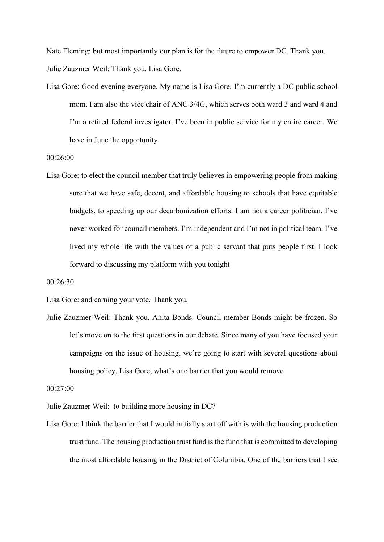Nate Fleming: but most importantly our plan is for the future to empower DC. Thank you. Julie Zauzmer Weil: Thank you. Lisa Gore.

Lisa Gore: Good evening everyone. My name is Lisa Gore. I'm currently a DC public school mom. I am also the vice chair of ANC 3/4G, which serves both ward 3 and ward 4 and I'm a retired federal investigator. I've been in public service for my entire career. We have in June the opportunity

00:26:00

Lisa Gore: to elect the council member that truly believes in empowering people from making sure that we have safe, decent, and affordable housing to schools that have equitable budgets, to speeding up our decarbonization efforts. I am not a career politician. I've never worked for council members. I'm independent and I'm not in political team. I've lived my whole life with the values of a public servant that puts people first. I look forward to discussing my platform with you tonight

00:26:30

Lisa Gore: and earning your vote. Thank you.

Julie Zauzmer Weil: Thank you. Anita Bonds. Council member Bonds might be frozen. So let's move on to the first questions in our debate. Since many of you have focused your campaigns on the issue of housing, we're going to start with several questions about housing policy. Lisa Gore, what's one barrier that you would remove

00:27:00

Julie Zauzmer Weil: to building more housing in DC?

Lisa Gore: I think the barrier that I would initially start off with is with the housing production trust fund. The housing production trust fund is the fund that is committed to developing the most affordable housing in the District of Columbia. One of the barriers that I see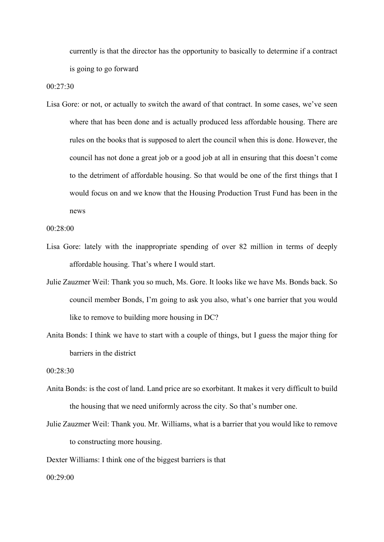currently is that the director has the opportunity to basically to determine if a contract is going to go forward

00:27:30

Lisa Gore: or not, or actually to switch the award of that contract. In some cases, we've seen where that has been done and is actually produced less affordable housing. There are rules on the books that is supposed to alert the council when this is done. However, the council has not done a great job or a good job at all in ensuring that this doesn't come to the detriment of affordable housing. So that would be one of the first things that I would focus on and we know that the Housing Production Trust Fund has been in the news

```
00:28:00
```
- Lisa Gore: lately with the inappropriate spending of over 82 million in terms of deeply affordable housing. That's where I would start.
- Julie Zauzmer Weil: Thank you so much, Ms. Gore. It looks like we have Ms. Bonds back. So council member Bonds, I'm going to ask you also, what's one barrier that you would like to remove to building more housing in DC?
- Anita Bonds: I think we have to start with a couple of things, but I guess the major thing for barriers in the district

00:28:30

- Anita Bonds: is the cost of land. Land price are so exorbitant. It makes it very difficult to build the housing that we need uniformly across the city. So that's number one.
- Julie Zauzmer Weil: Thank you. Mr. Williams, what is a barrier that you would like to remove to constructing more housing.

Dexter Williams: I think one of the biggest barriers is that

00:29:00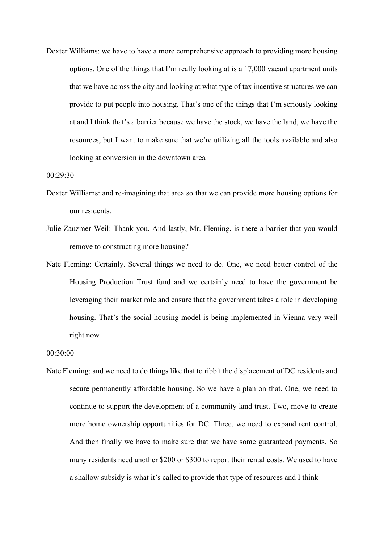Dexter Williams: we have to have a more comprehensive approach to providing more housing options. One of the things that I'm really looking at is a 17,000 vacant apartment units that we have across the city and looking at what type of tax incentive structures we can provide to put people into housing. That's one of the things that I'm seriously looking at and I think that's a barrier because we have the stock, we have the land, we have the resources, but I want to make sure that we're utilizing all the tools available and also looking at conversion in the downtown area

00:29:30

- Dexter Williams: and re-imagining that area so that we can provide more housing options for our residents.
- Julie Zauzmer Weil: Thank you. And lastly, Mr. Fleming, is there a barrier that you would remove to constructing more housing?
- Nate Fleming: Certainly. Several things we need to do. One, we need better control of the Housing Production Trust fund and we certainly need to have the government be leveraging their market role and ensure that the government takes a role in developing housing. That's the social housing model is being implemented in Vienna very well right now

00:30:00

Nate Fleming: and we need to do things like that to ribbit the displacement of DC residents and secure permanently affordable housing. So we have a plan on that. One, we need to continue to support the development of a community land trust. Two, move to create more home ownership opportunities for DC. Three, we need to expand rent control. And then finally we have to make sure that we have some guaranteed payments. So many residents need another \$200 or \$300 to report their rental costs. We used to have a shallow subsidy is what it's called to provide that type of resources and I think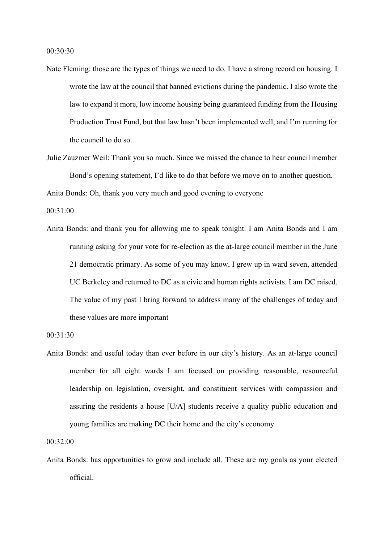- Nate Fleming: those are the types of things we need to do. I have a strong record on housing. I wrote the law at the council that banned evictions during the pandemic. I also wrote the law to expand it more, low income housing being guaranteed funding from the Housing Production Trust Fund, but that law hasn't been implemented well, and I'm running for the council to do so.
- Julie Zauzmer Weil: Thank you so much. Since we missed the chance to hear council member Bond's opening statement, I'd like to do that before we move on to another question.

Anita Bonds: Oh, thank you very much and good evening to everyone

00:31:00

Anita Bonds: and thank you for allowing me to speak tonight. I am Anita Bonds and I am running asking for your vote for re-election as the at-large council member in the June 21 democratic primary. As some of you may know, I grew up in ward seven, attended UC Berkeley and returned to DC as a civic and human rights activists. I am DC raised. The value of my past I bring forward to address many of the challenges of today and these values are more important

00:31:30

Anita Bonds: and useful today than ever before in our city's history. As an at-large council member for all eight wards I am focused on providing reasonable, resourceful leadership on legislation, oversight, and constituent services with compassion and assuring the residents a house [U/A] students receive a quality public education and young families are making DC their home and the city's economy

00:32:00

Anita Bonds: has opportunities to grow and include all. These are my goals as your elected official.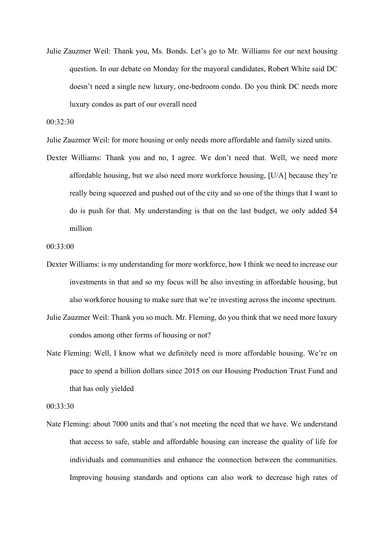Julie Zauzmer Weil: Thank you, Ms. Bonds. Let's go to Mr. Williams for our next housing question. In our debate on Monday for the mayoral candidates, Robert White said DC doesn't need a single new luxury, one-bedroom condo. Do you think DC needs more luxury condos as part of our overall need

00:32:30

- Julie Zauzmer Weil: for more housing or only needs more affordable and family sized units.
- Dexter Williams: Thank you and no, I agree. We don't need that. Well, we need more affordable housing, but we also need more workforce housing, [U/A] because they're really being squeezed and pushed out of the city and so one of the things that I want to do is push for that. My understanding is that on the last budget, we only added \$4 million

00:33:00

- Dexter Williams: is my understanding for more workforce, how I think we need to increase our investments in that and so my focus will be also investing in affordable housing, but also workforce housing to make sure that we're investing across the income spectrum.
- Julie Zauzmer Weil: Thank you so much. Mr. Fleming, do you think that we need more luxury condos among other forms of housing or not?
- Nate Fleming: Well, I know what we definitely need is more affordable housing. We're on pace to spend a billion dollars since 2015 on our Housing Production Trust Fund and that has only yielded

00:33:30

Nate Fleming: about 7000 units and that's not meeting the need that we have. We understand that access to safe, stable and affordable housing can increase the quality of life for individuals and communities and enhance the connection between the communities. Improving housing standards and options can also work to decrease high rates of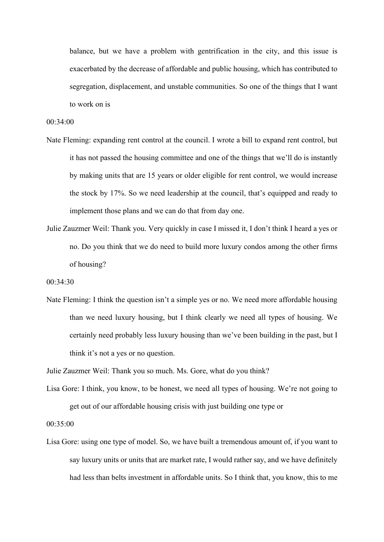balance, but we have a problem with gentrification in the city, and this issue is exacerbated by the decrease of affordable and public housing, which has contributed to segregation, displacement, and unstable communities. So one of the things that I want to work on is

00:34:00

- Nate Fleming: expanding rent control at the council. I wrote a bill to expand rent control, but it has not passed the housing committee and one of the things that we'll do is instantly by making units that are 15 years or older eligible for rent control, we would increase the stock by 17%. So we need leadership at the council, that's equipped and ready to implement those plans and we can do that from day one.
- Julie Zauzmer Weil: Thank you. Very quickly in case I missed it, I don't think I heard a yes or no. Do you think that we do need to build more luxury condos among the other firms of housing?

00:34:30

Nate Fleming: I think the question isn't a simple yes or no. We need more affordable housing than we need luxury housing, but I think clearly we need all types of housing. We certainly need probably less luxury housing than we've been building in the past, but I think it's not a yes or no question.

Julie Zauzmer Weil: Thank you so much. Ms. Gore, what do you think?

Lisa Gore: I think, you know, to be honest, we need all types of housing. We're not going to get out of our affordable housing crisis with just building one type or

00:35:00

Lisa Gore: using one type of model. So, we have built a tremendous amount of, if you want to say luxury units or units that are market rate, I would rather say, and we have definitely had less than belts investment in affordable units. So I think that, you know, this to me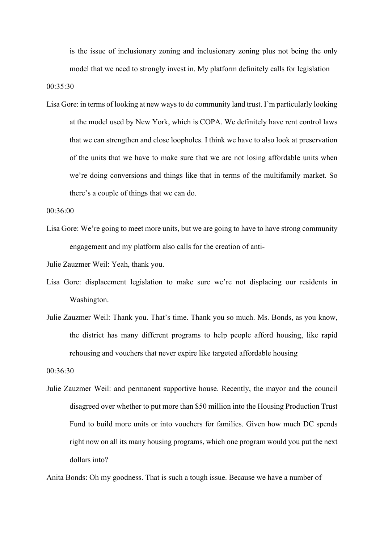is the issue of inclusionary zoning and inclusionary zoning plus not being the only model that we need to strongly invest in. My platform definitely calls for legislation

00:35:30

Lisa Gore: in terms of looking at new ways to do community land trust. I'm particularly looking at the model used by New York, which is COPA. We definitely have rent control laws that we can strengthen and close loopholes. I think we have to also look at preservation of the units that we have to make sure that we are not losing affordable units when we're doing conversions and things like that in terms of the multifamily market. So there's a couple of things that we can do.

00:36:00

Lisa Gore: We're going to meet more units, but we are going to have to have strong community engagement and my platform also calls for the creation of anti-

Julie Zauzmer Weil: Yeah, thank you.

- Lisa Gore: displacement legislation to make sure we're not displacing our residents in Washington.
- Julie Zauzmer Weil: Thank you. That's time. Thank you so much. Ms. Bonds, as you know, the district has many different programs to help people afford housing, like rapid rehousing and vouchers that never expire like targeted affordable housing

00:36:30

Julie Zauzmer Weil: and permanent supportive house. Recently, the mayor and the council disagreed over whether to put more than \$50 million into the Housing Production Trust Fund to build more units or into vouchers for families. Given how much DC spends right now on all its many housing programs, which one program would you put the next dollars into?

Anita Bonds: Oh my goodness. That is such a tough issue. Because we have a number of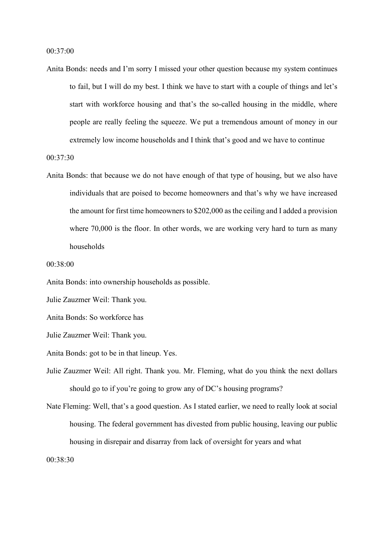Anita Bonds: needs and I'm sorry I missed your other question because my system continues to fail, but I will do my best. I think we have to start with a couple of things and let's start with workforce housing and that's the so-called housing in the middle, where people are really feeling the squeeze. We put a tremendous amount of money in our extremely low income households and I think that's good and we have to continue

00:37:30

Anita Bonds: that because we do not have enough of that type of housing, but we also have individuals that are poised to become homeowners and that's why we have increased the amount for first time homeowners to \$202,000 as the ceiling and I added a provision where 70,000 is the floor. In other words, we are working very hard to turn as many households

00:38:00

Anita Bonds: into ownership households as possible.

Julie Zauzmer Weil: Thank you.

Anita Bonds: So workforce has

Julie Zauzmer Weil: Thank you.

Anita Bonds: got to be in that lineup. Yes.

Julie Zauzmer Weil: All right. Thank you. Mr. Fleming, what do you think the next dollars should go to if you're going to grow any of DC's housing programs?

Nate Fleming: Well, that's a good question. As I stated earlier, we need to really look at social housing. The federal government has divested from public housing, leaving our public housing in disrepair and disarray from lack of oversight for years and what

00:38:30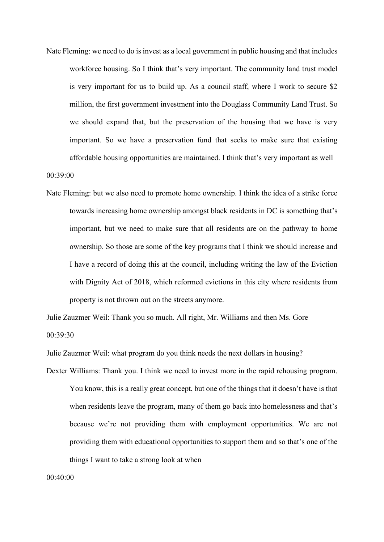Nate Fleming: we need to do is invest as a local government in public housing and that includes workforce housing. So I think that's very important. The community land trust model is very important for us to build up. As a council staff, where I work to secure \$2 million, the first government investment into the Douglass Community Land Trust. So we should expand that, but the preservation of the housing that we have is very important. So we have a preservation fund that seeks to make sure that existing affordable housing opportunities are maintained. I think that's very important as well

#### 00:39:00

Nate Fleming: but we also need to promote home ownership. I think the idea of a strike force towards increasing home ownership amongst black residents in DC is something that's important, but we need to make sure that all residents are on the pathway to home ownership. So those are some of the key programs that I think we should increase and I have a record of doing this at the council, including writing the law of the Eviction with Dignity Act of 2018, which reformed evictions in this city where residents from property is not thrown out on the streets anymore.

Julie Zauzmer Weil: Thank you so much. All right, Mr. Williams and then Ms. Gore 00:39:30

Julie Zauzmer Weil: what program do you think needs the next dollars in housing?

Dexter Williams: Thank you. I think we need to invest more in the rapid rehousing program. You know, this is a really great concept, but one of the things that it doesn't have is that when residents leave the program, many of them go back into homelessness and that's because we're not providing them with employment opportunities. We are not providing them with educational opportunities to support them and so that's one of the things I want to take a strong look at when

00:40:00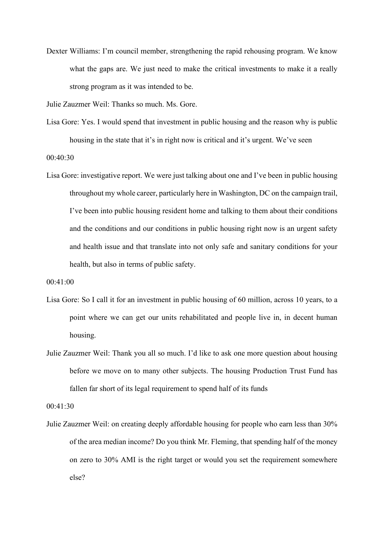Dexter Williams: I'm council member, strengthening the rapid rehousing program. We know what the gaps are. We just need to make the critical investments to make it a really strong program as it was intended to be.

Julie Zauzmer Weil: Thanks so much. Ms. Gore.

- Lisa Gore: Yes. I would spend that investment in public housing and the reason why is public housing in the state that it's in right now is critical and it's urgent. We've seen 00:40:30
- Lisa Gore: investigative report. We were just talking about one and I've been in public housing throughout my whole career, particularly here in Washington, DC on the campaign trail, I've been into public housing resident home and talking to them about their conditions and the conditions and our conditions in public housing right now is an urgent safety and health issue and that translate into not only safe and sanitary conditions for your health, but also in terms of public safety.

00:41:00

- Lisa Gore: So I call it for an investment in public housing of 60 million, across 10 years, to a point where we can get our units rehabilitated and people live in, in decent human housing.
- Julie Zauzmer Weil: Thank you all so much. I'd like to ask one more question about housing before we move on to many other subjects. The housing Production Trust Fund has fallen far short of its legal requirement to spend half of its funds

00:41:30

Julie Zauzmer Weil: on creating deeply affordable housing for people who earn less than 30% of the area median income? Do you think Mr. Fleming, that spending half of the money on zero to 30% AMI is the right target or would you set the requirement somewhere else?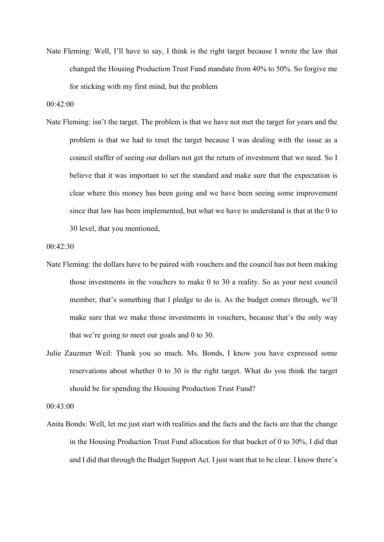Nate Fleming: Well, I'll have to say, I think is the right target because I wrote the law that changed the Housing Production Trust Fund mandate from 40% to 50%. So forgive me for sticking with my first mind, but the problem

## 00:42:00

Nate Fleming: isn't the target. The problem is that we have not met the target for years and the problem is that we had to reset the target because I was dealing with the issue as a council staffer of seeing our dollars not get the return of investment that we need. So I believe that it was important to set the standard and make sure that the expectation is clear where this money has been going and we have been seeing some improvement since that law has been implemented, but what we have to understand is that at the 0 to 30 level, that you mentioned,

```
00:42:30
```
- Nate Fleming: the dollars have to be paired with vouchers and the council has not been making those investments in the vouchers to make 0 to 30 a reality. So as your next council member, that's something that I pledge to do is. As the budget comes through, we'll make sure that we make those investments in vouchers, because that's the only way that we're going to meet our goals and 0 to 30.
- Julie Zauzmer Weil: Thank you so much. Ms. Bonds, I know you have expressed some reservations about whether 0 to 30 is the right target. What do you think the target should be for spending the Housing Production Trust Fund?

00:43:00

Anita Bonds: Well, let me just start with realities and the facts and the facts are that the change in the Housing Production Trust Fund allocation for that bucket of 0 to 30%, I did that and I did that through the Budget Support Act. I just want that to be clear. I know there's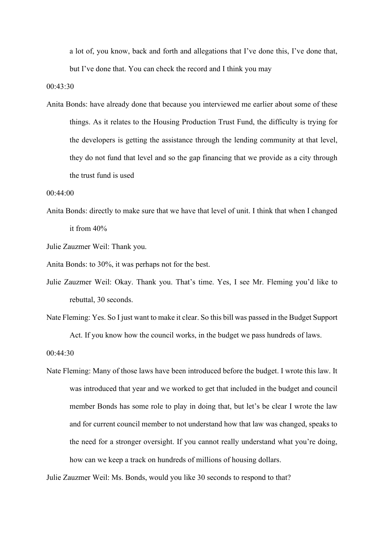a lot of, you know, back and forth and allegations that I've done this, I've done that, but I've done that. You can check the record and I think you may

00:43:30

Anita Bonds: have already done that because you interviewed me earlier about some of these things. As it relates to the Housing Production Trust Fund, the difficulty is trying for the developers is getting the assistance through the lending community at that level, they do not fund that level and so the gap financing that we provide as a city through the trust fund is used

00:44:00

Anita Bonds: directly to make sure that we have that level of unit. I think that when I changed it from 40%

Julie Zauzmer Weil: Thank you.

Anita Bonds: to 30%, it was perhaps not for the best.

- Julie Zauzmer Weil: Okay. Thank you. That's time. Yes, I see Mr. Fleming you'd like to rebuttal, 30 seconds.
- Nate Fleming: Yes. So I just want to make it clear. So this bill was passed in the Budget Support Act. If you know how the council works, in the budget we pass hundreds of laws.

00:44:30

Nate Fleming: Many of those laws have been introduced before the budget. I wrote this law. It was introduced that year and we worked to get that included in the budget and council member Bonds has some role to play in doing that, but let's be clear I wrote the law and for current council member to not understand how that law was changed, speaks to the need for a stronger oversight. If you cannot really understand what you're doing, how can we keep a track on hundreds of millions of housing dollars.

Julie Zauzmer Weil: Ms. Bonds, would you like 30 seconds to respond to that?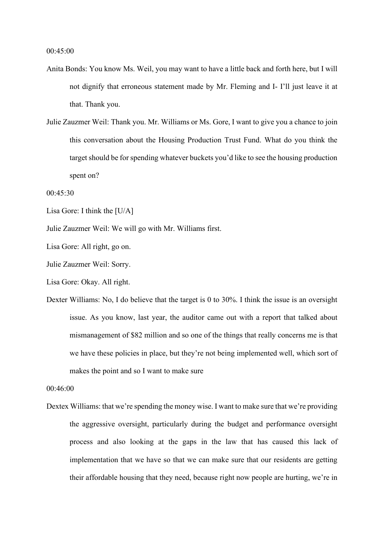- Anita Bonds: You know Ms. Weil, you may want to have a little back and forth here, but I will not dignify that erroneous statement made by Mr. Fleming and I- I'll just leave it at that. Thank you.
- Julie Zauzmer Weil: Thank you. Mr. Williams or Ms. Gore, I want to give you a chance to join this conversation about the Housing Production Trust Fund. What do you think the target should be for spending whatever buckets you'd like to see the housing production spent on?

00:45:30

- Lisa Gore: I think the [U/A]
- Julie Zauzmer Weil: We will go with Mr. Williams first.

Lisa Gore: All right, go on.

Julie Zauzmer Weil: Sorry.

Lisa Gore: Okay. All right.

Dexter Williams: No, I do believe that the target is 0 to 30%. I think the issue is an oversight issue. As you know, last year, the auditor came out with a report that talked about mismanagement of \$82 million and so one of the things that really concerns me is that we have these policies in place, but they're not being implemented well, which sort of makes the point and so I want to make sure

00:46:00

Dextex Williams: that we're spending the money wise. I want to make sure that we're providing the aggressive oversight, particularly during the budget and performance oversight process and also looking at the gaps in the law that has caused this lack of implementation that we have so that we can make sure that our residents are getting their affordable housing that they need, because right now people are hurting, we're in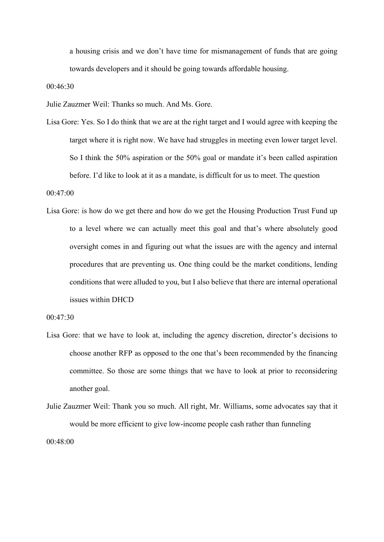a housing crisis and we don't have time for mismanagement of funds that are going towards developers and it should be going towards affordable housing.

00:46:30

Julie Zauzmer Weil: Thanks so much. And Ms. Gore.

Lisa Gore: Yes. So I do think that we are at the right target and I would agree with keeping the target where it is right now. We have had struggles in meeting even lower target level. So I think the 50% aspiration or the 50% goal or mandate it's been called aspiration before. I'd like to look at it as a mandate, is difficult for us to meet. The question

00:47:00

Lisa Gore: is how do we get there and how do we get the Housing Production Trust Fund up to a level where we can actually meet this goal and that's where absolutely good oversight comes in and figuring out what the issues are with the agency and internal procedures that are preventing us. One thing could be the market conditions, lending conditions that were alluded to you, but I also believe that there are internal operational issues within DHCD

00:47:30

- Lisa Gore: that we have to look at, including the agency discretion, director's decisions to choose another RFP as opposed to the one that's been recommended by the financing committee. So those are some things that we have to look at prior to reconsidering another goal.
- Julie Zauzmer Weil: Thank you so much. All right, Mr. Williams, some advocates say that it would be more efficient to give low-income people cash rather than funneling 00:48:00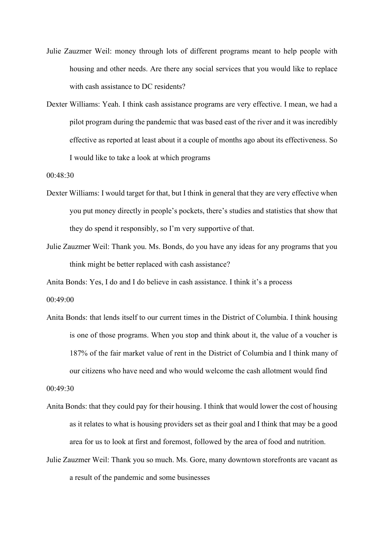- Julie Zauzmer Weil: money through lots of different programs meant to help people with housing and other needs. Are there any social services that you would like to replace with cash assistance to DC residents?
- Dexter Williams: Yeah. I think cash assistance programs are very effective. I mean, we had a pilot program during the pandemic that was based east of the river and it was incredibly effective as reported at least about it a couple of months ago about its effectiveness. So I would like to take a look at which programs

00:48:30

- Dexter Williams: I would target for that, but I think in general that they are very effective when you put money directly in people's pockets, there's studies and statistics that show that they do spend it responsibly, so I'm very supportive of that.
- Julie Zauzmer Weil: Thank you. Ms. Bonds, do you have any ideas for any programs that you think might be better replaced with cash assistance?

Anita Bonds: Yes, I do and I do believe in cash assistance. I think it's a process 00:49:00

Anita Bonds: that lends itself to our current times in the District of Columbia. I think housing is one of those programs. When you stop and think about it, the value of a voucher is 187% of the fair market value of rent in the District of Columbia and I think many of our citizens who have need and who would welcome the cash allotment would find

00:49:30

- Anita Bonds: that they could pay for their housing. I think that would lower the cost of housing as it relates to what is housing providers set as their goal and I think that may be a good area for us to look at first and foremost, followed by the area of food and nutrition.
- Julie Zauzmer Weil: Thank you so much. Ms. Gore, many downtown storefronts are vacant as a result of the pandemic and some businesses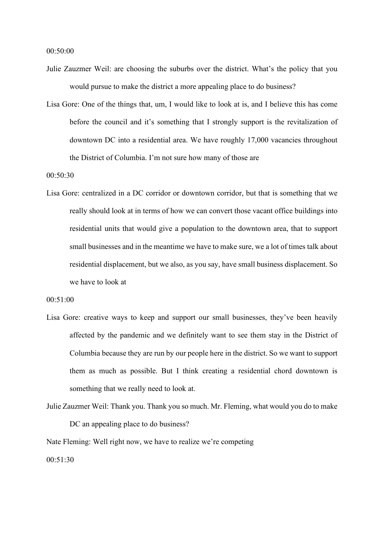00:50:00

- Julie Zauzmer Weil: are choosing the suburbs over the district. What's the policy that you would pursue to make the district a more appealing place to do business?
- Lisa Gore: One of the things that, um, I would like to look at is, and I believe this has come before the council and it's something that I strongly support is the revitalization of downtown DC into a residential area. We have roughly 17,000 vacancies throughout the District of Columbia. I'm not sure how many of those are

00:50:30

Lisa Gore: centralized in a DC corridor or downtown corridor, but that is something that we really should look at in terms of how we can convert those vacant office buildings into residential units that would give a population to the downtown area, that to support small businesses and in the meantime we have to make sure, we a lot of times talk about residential displacement, but we also, as you say, have small business displacement. So we have to look at

00:51:00

- Lisa Gore: creative ways to keep and support our small businesses, they've been heavily affected by the pandemic and we definitely want to see them stay in the District of Columbia because they are run by our people here in the district. So we want to support them as much as possible. But I think creating a residential chord downtown is something that we really need to look at.
- Julie Zauzmer Weil: Thank you. Thank you so much. Mr. Fleming, what would you do to make DC an appealing place to do business?

Nate Fleming: Well right now, we have to realize we're competing

00:51:30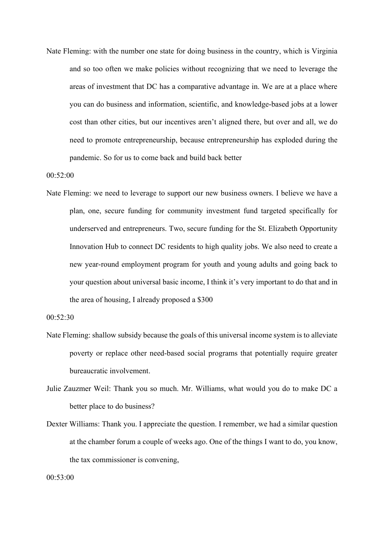Nate Fleming: with the number one state for doing business in the country, which is Virginia and so too often we make policies without recognizing that we need to leverage the areas of investment that DC has a comparative advantage in. We are at a place where you can do business and information, scientific, and knowledge-based jobs at a lower cost than other cities, but our incentives aren't aligned there, but over and all, we do need to promote entrepreneurship, because entrepreneurship has exploded during the pandemic. So for us to come back and build back better

00:52:00

Nate Fleming: we need to leverage to support our new business owners. I believe we have a plan, one, secure funding for community investment fund targeted specifically for underserved and entrepreneurs. Two, secure funding for the St. Elizabeth Opportunity Innovation Hub to connect DC residents to high quality jobs. We also need to create a new year-round employment program for youth and young adults and going back to your question about universal basic income, I think it's very important to do that and in the area of housing, I already proposed a \$300

00:52:30

- Nate Fleming: shallow subsidy because the goals of this universal income system is to alleviate poverty or replace other need-based social programs that potentially require greater bureaucratic involvement.
- Julie Zauzmer Weil: Thank you so much. Mr. Williams, what would you do to make DC a better place to do business?
- Dexter Williams: Thank you. I appreciate the question. I remember, we had a similar question at the chamber forum a couple of weeks ago. One of the things I want to do, you know, the tax commissioner is convening,

 $00.53:00$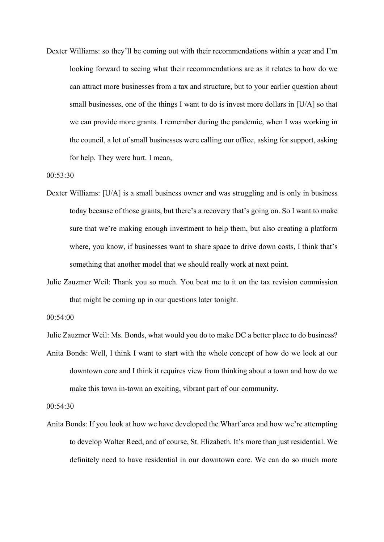Dexter Williams: so they'll be coming out with their recommendations within a year and I'm looking forward to seeing what their recommendations are as it relates to how do we can attract more businesses from a tax and structure, but to your earlier question about small businesses, one of the things I want to do is invest more dollars in [U/A] so that we can provide more grants. I remember during the pandemic, when I was working in the council, a lot of small businesses were calling our office, asking for support, asking for help. They were hurt. I mean,

00:53:30

- Dexter Williams: [U/A] is a small business owner and was struggling and is only in business today because of those grants, but there's a recovery that's going on. So I want to make sure that we're making enough investment to help them, but also creating a platform where, you know, if businesses want to share space to drive down costs, I think that's something that another model that we should really work at next point.
- Julie Zauzmer Weil: Thank you so much. You beat me to it on the tax revision commission that might be coming up in our questions later tonight.

00:54:00

Julie Zauzmer Weil: Ms. Bonds, what would you do to make DC a better place to do business?

Anita Bonds: Well, I think I want to start with the whole concept of how do we look at our downtown core and I think it requires view from thinking about a town and how do we make this town in-town an exciting, vibrant part of our community.

00:54:30

Anita Bonds: If you look at how we have developed the Wharf area and how we're attempting to develop Walter Reed, and of course, St. Elizabeth. It's more than just residential. We definitely need to have residential in our downtown core. We can do so much more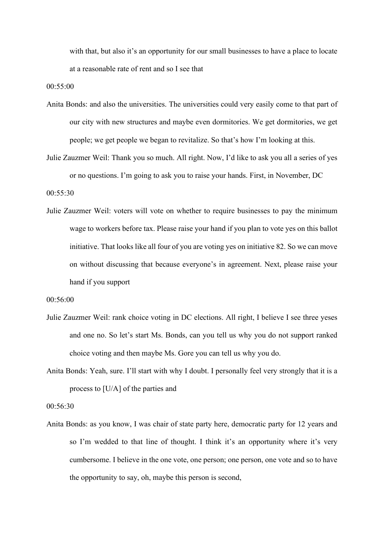with that, but also it's an opportunity for our small businesses to have a place to locate at a reasonable rate of rent and so I see that

00:55:00

- Anita Bonds: and also the universities. The universities could very easily come to that part of our city with new structures and maybe even dormitories. We get dormitories, we get people; we get people we began to revitalize. So that's how I'm looking at this.
- Julie Zauzmer Weil: Thank you so much. All right. Now, I'd like to ask you all a series of yes or no questions. I'm going to ask you to raise your hands. First, in November, DC

00:55:30

Julie Zauzmer Weil: voters will vote on whether to require businesses to pay the minimum wage to workers before tax. Please raise your hand if you plan to vote yes on this ballot initiative. That looks like all four of you are voting yes on initiative 82. So we can move on without discussing that because everyone's in agreement. Next, please raise your hand if you support

00:56:00

- Julie Zauzmer Weil: rank choice voting in DC elections. All right, I believe I see three yeses and one no. So let's start Ms. Bonds, can you tell us why you do not support ranked choice voting and then maybe Ms. Gore you can tell us why you do.
- Anita Bonds: Yeah, sure. I'll start with why I doubt. I personally feel very strongly that it is a process to [U/A] of the parties and

00:56:30

Anita Bonds: as you know, I was chair of state party here, democratic party for 12 years and so I'm wedded to that line of thought. I think it's an opportunity where it's very cumbersome. I believe in the one vote, one person; one person, one vote and so to have the opportunity to say, oh, maybe this person is second,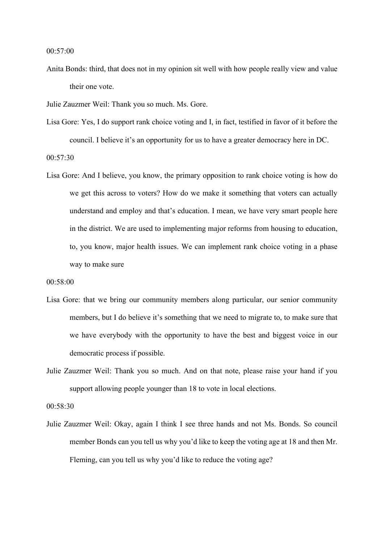00:57:00

Anita Bonds: third, that does not in my opinion sit well with how people really view and value their one vote.

Julie Zauzmer Weil: Thank you so much. Ms. Gore.

- Lisa Gore: Yes, I do support rank choice voting and I, in fact, testified in favor of it before the council. I believe it's an opportunity for us to have a greater democracy here in DC. 00:57:30
- Lisa Gore: And I believe, you know, the primary opposition to rank choice voting is how do we get this across to voters? How do we make it something that voters can actually understand and employ and that's education. I mean, we have very smart people here in the district. We are used to implementing major reforms from housing to education, to, you know, major health issues. We can implement rank choice voting in a phase way to make sure
- 00:58:00
- Lisa Gore: that we bring our community members along particular, our senior community members, but I do believe it's something that we need to migrate to, to make sure that we have everybody with the opportunity to have the best and biggest voice in our democratic process if possible.
- Julie Zauzmer Weil: Thank you so much. And on that note, please raise your hand if you support allowing people younger than 18 to vote in local elections.

00:58:30

Julie Zauzmer Weil: Okay, again I think I see three hands and not Ms. Bonds. So council member Bonds can you tell us why you'd like to keep the voting age at 18 and then Mr. Fleming, can you tell us why you'd like to reduce the voting age?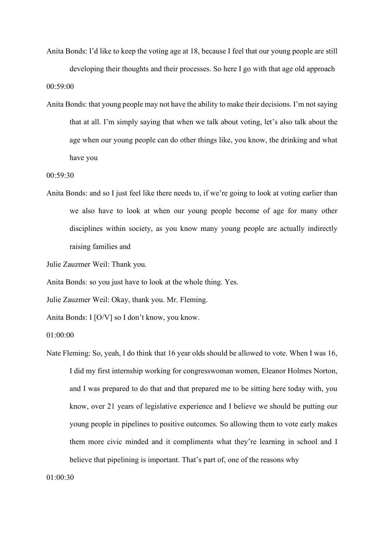Anita Bonds: I'd like to keep the voting age at 18, because I feel that our young people are still developing their thoughts and their processes. So here I go with that age old approach 00:59:00

Anita Bonds: that young people may not have the ability to make their decisions. I'm not saying that at all. I'm simply saying that when we talk about voting, let's also talk about the age when our young people can do other things like, you know, the drinking and what have you

00:59:30

Anita Bonds: and so I just feel like there needs to, if we're going to look at voting earlier than we also have to look at when our young people become of age for many other disciplines within society, as you know many young people are actually indirectly raising families and

Julie Zauzmer Weil: Thank you.

Anita Bonds: so you just have to look at the whole thing. Yes.

Julie Zauzmer Weil: Okay, thank you. Mr. Fleming.

Anita Bonds: I [O/V] so I don't know, you know.

01:00:00

Nate Fleming: So, yeah, I do think that 16 year olds should be allowed to vote. When I was 16, I did my first internship working for congresswoman women, Eleanor Holmes Norton, and I was prepared to do that and that prepared me to be sitting here today with, you know, over 21 years of legislative experience and I believe we should be putting our young people in pipelines to positive outcomes. So allowing them to vote early makes them more civic minded and it compliments what they're learning in school and I believe that pipelining is important. That's part of, one of the reasons why

 $01.00.30$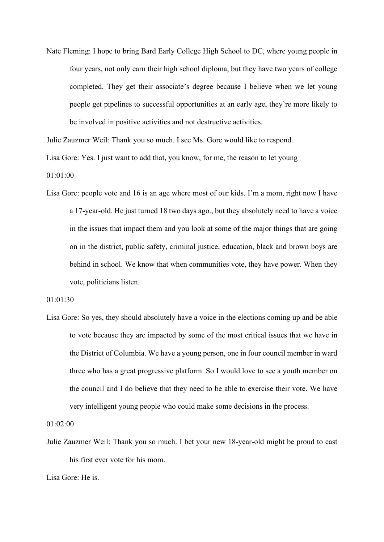Nate Fleming: I hope to bring Bard Early College High School to DC, where young people in four years, not only earn their high school diploma, but they have two years of college completed. They get their associate's degree because I believe when we let young people get pipelines to successful opportunities at an early age, they're more likely to be involved in positive activities and not destructive activities.

Julie Zauzmer Weil: Thank you so much. I see Ms. Gore would like to respond.

Lisa Gore: Yes. I just want to add that, you know, for me, the reason to let young

01:01:00

Lisa Gore: people vote and 16 is an age where most of our kids. I'm a mom, right now I have a 17-year-old. He just turned 18 two days ago., but they absolutely need to have a voice in the issues that impact them and you look at some of the major things that are going on in the district, public safety, criminal justice, education, black and brown boys are behind in school. We know that when communities vote, they have power. When they vote, politicians listen.

## 01:01:30

Lisa Gore: So yes, they should absolutely have a voice in the elections coming up and be able to vote because they are impacted by some of the most critical issues that we have in the District of Columbia. We have a young person, one in four council member in ward three who has a great progressive platform. So I would love to see a youth member on the council and I do believe that they need to be able to exercise their vote. We have very intelligent young people who could make some decisions in the process.

01:02:00

Julie Zauzmer Weil: Thank you so much. I bet your new 18-year-old might be proud to cast his first ever vote for his mom.

Lisa Gore: He is.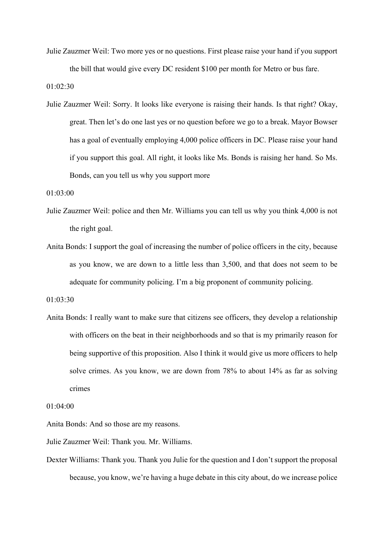Julie Zauzmer Weil: Two more yes or no questions. First please raise your hand if you support the bill that would give every DC resident \$100 per month for Metro or bus fare.

01:02:30

Julie Zauzmer Weil: Sorry. It looks like everyone is raising their hands. Is that right? Okay, great. Then let's do one last yes or no question before we go to a break. Mayor Bowser has a goal of eventually employing 4,000 police officers in DC. Please raise your hand if you support this goal. All right, it looks like Ms. Bonds is raising her hand. So Ms. Bonds, can you tell us why you support more

01:03:00

- Julie Zauzmer Weil: police and then Mr. Williams you can tell us why you think 4,000 is not the right goal.
- Anita Bonds: I support the goal of increasing the number of police officers in the city, because as you know, we are down to a little less than 3,500, and that does not seem to be adequate for community policing. I'm a big proponent of community policing.

```
01:03:30
```
Anita Bonds: I really want to make sure that citizens see officers, they develop a relationship with officers on the beat in their neighborhoods and so that is my primarily reason for being supportive of this proposition. Also I think it would give us more officers to help solve crimes. As you know, we are down from 78% to about 14% as far as solving crimes

01:04:00

Anita Bonds: And so those are my reasons.

Julie Zauzmer Weil: Thank you. Mr. Williams.

Dexter Williams: Thank you. Thank you Julie for the question and I don't support the proposal because, you know, we're having a huge debate in this city about, do we increase police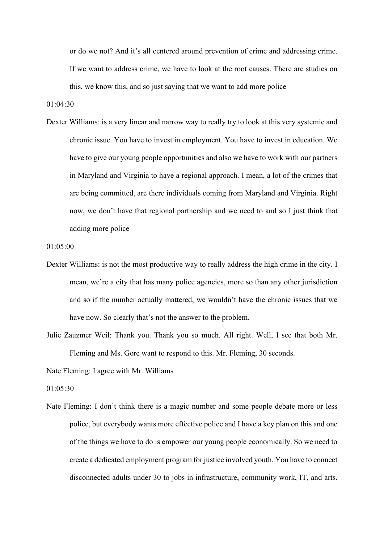or do we not? And it's all centered around prevention of crime and addressing crime. If we want to address crime, we have to look at the root causes. There are studies on this, we know this, and so just saying that we want to add more police

01:04:30

Dexter Williams: is a very linear and narrow way to really try to look at this very systemic and chronic issue. You have to invest in employment. You have to invest in education. We have to give our young people opportunities and also we have to work with our partners in Maryland and Virginia to have a regional approach. I mean, a lot of the crimes that are being committed, are there individuals coming from Maryland and Virginia. Right now, we don't have that regional partnership and we need to and so I just think that adding more police

01:05:00

- Dexter Williams: is not the most productive way to really address the high crime in the city. I mean, we're a city that has many police agencies, more so than any other jurisdiction and so if the number actually mattered, we wouldn't have the chronic issues that we have now. So clearly that's not the answer to the problem.
- Julie Zauzmer Weil: Thank you. Thank you so much. All right. Well, I see that both Mr. Fleming and Ms. Gore want to respond to this. Mr. Fleming, 30 seconds.

Nate Fleming: I agree with Mr. Williams

01:05:30

Nate Fleming: I don't think there is a magic number and some people debate more or less police, but everybody wants more effective police and I have a key plan on this and one of the things we have to do is empower our young people economically. So we need to create a dedicated employment program for justice involved youth. You have to connect disconnected adults under 30 to jobs in infrastructure, community work, IT, and arts.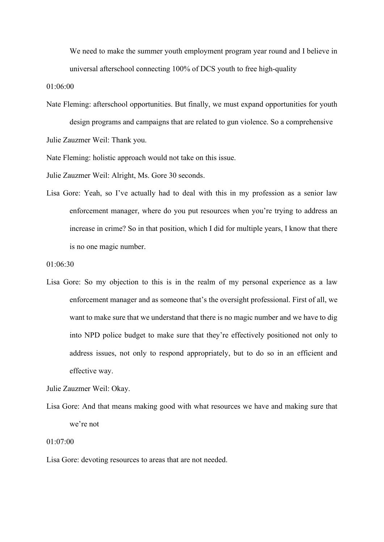We need to make the summer youth employment program year round and I believe in universal afterschool connecting 100% of DCS youth to free high-quality

01:06:00

Nate Fleming: afterschool opportunities. But finally, we must expand opportunities for youth design programs and campaigns that are related to gun violence. So a comprehensive

Julie Zauzmer Weil: Thank you.

Nate Fleming: holistic approach would not take on this issue.

Julie Zauzmer Weil: Alright, Ms. Gore 30 seconds.

Lisa Gore: Yeah, so I've actually had to deal with this in my profession as a senior law enforcement manager, where do you put resources when you're trying to address an increase in crime? So in that position, which I did for multiple years, I know that there is no one magic number.

Lisa Gore: So my objection to this is in the realm of my personal experience as a law enforcement manager and as someone that's the oversight professional. First of all, we want to make sure that we understand that there is no magic number and we have to dig into NPD police budget to make sure that they're effectively positioned not only to address issues, not only to respond appropriately, but to do so in an efficient and effective way.

Julie Zauzmer Weil: Okay.

Lisa Gore: And that means making good with what resources we have and making sure that we're not

# 01:07:00

Lisa Gore: devoting resources to areas that are not needed.

<sup>01:06:30</sup>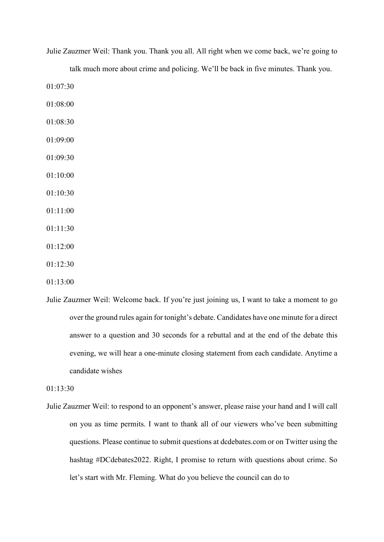| talk much more about crime and policing. We'll be back in five minutes. Thank you. |  |
|------------------------------------------------------------------------------------|--|
| 01:07:30                                                                           |  |
| 01:08:00                                                                           |  |
| 01:08:30                                                                           |  |
| 01:09:00                                                                           |  |
| 01:09:30                                                                           |  |
| 01:10:00                                                                           |  |
| 01:10:30                                                                           |  |
| 01:11:00                                                                           |  |
| 01:11:30                                                                           |  |
| 01:12:00                                                                           |  |
| 01:12:30                                                                           |  |
| 01:13:00                                                                           |  |

Julie Zauzmer Weil: Welcome back. If you're just joining us, I want to take a moment to go over the ground rules again for tonight's debate. Candidates have one minute for a direct answer to a question and 30 seconds for a rebuttal and at the end of the debate this evening, we will hear a one-minute closing statement from each candidate. Anytime a

01:13:30

candidate wishes

Julie Zauzmer Weil: to respond to an opponent's answer, please raise your hand and I will call on you as time permits. I want to thank all of our viewers who've been submitting questions. Please continue to submit questions at dcdebates.com or on Twitter using the hashtag #DCdebates2022. Right, I promise to return with questions about crime. So let's start with Mr. Fleming. What do you believe the council can do to

Julie Zauzmer Weil: Thank you. Thank you all. All right when we come back, we're going to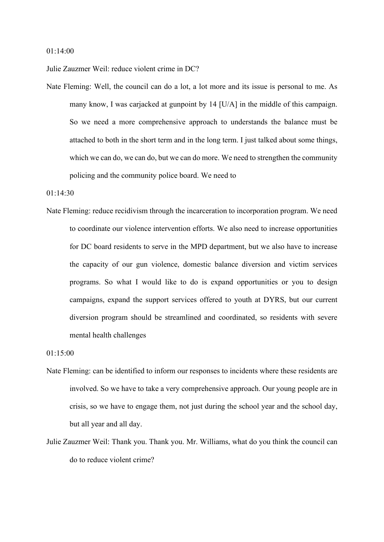### 01:14:00

Julie Zauzmer Weil: reduce violent crime in DC?

Nate Fleming: Well, the council can do a lot, a lot more and its issue is personal to me. As many know, I was carjacked at gunpoint by 14 [U/A] in the middle of this campaign. So we need a more comprehensive approach to understands the balance must be attached to both in the short term and in the long term. I just talked about some things, which we can do, we can do, but we can do more. We need to strengthen the community policing and the community police board. We need to

### 01:14:30

Nate Fleming: reduce recidivism through the incarceration to incorporation program. We need to coordinate our violence intervention efforts. We also need to increase opportunities for DC board residents to serve in the MPD department, but we also have to increase the capacity of our gun violence, domestic balance diversion and victim services programs. So what I would like to do is expand opportunities or you to design campaigns, expand the support services offered to youth at DYRS, but our current diversion program should be streamlined and coordinated, so residents with severe mental health challenges

01:15:00

- Nate Fleming: can be identified to inform our responses to incidents where these residents are involved. So we have to take a very comprehensive approach. Our young people are in crisis, so we have to engage them, not just during the school year and the school day, but all year and all day.
- Julie Zauzmer Weil: Thank you. Thank you. Mr. Williams, what do you think the council can do to reduce violent crime?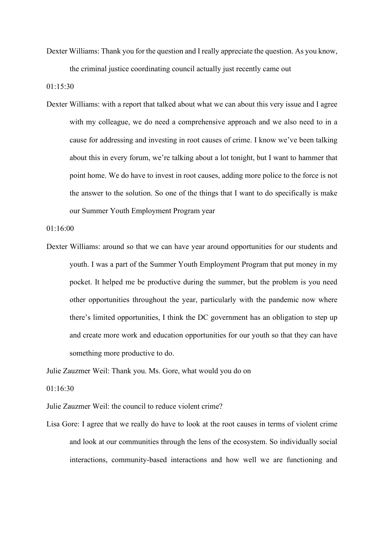Dexter Williams: Thank you for the question and I really appreciate the question. As you know, the criminal justice coordinating council actually just recently came out

01:15:30

Dexter Williams: with a report that talked about what we can about this very issue and I agree with my colleague, we do need a comprehensive approach and we also need to in a cause for addressing and investing in root causes of crime. I know we've been talking about this in every forum, we're talking about a lot tonight, but I want to hammer that point home. We do have to invest in root causes, adding more police to the force is not the answer to the solution. So one of the things that I want to do specifically is make our Summer Youth Employment Program year

01:16:00

Dexter Williams: around so that we can have year around opportunities for our students and youth. I was a part of the Summer Youth Employment Program that put money in my pocket. It helped me be productive during the summer, but the problem is you need other opportunities throughout the year, particularly with the pandemic now where there's limited opportunities, I think the DC government has an obligation to step up and create more work and education opportunities for our youth so that they can have something more productive to do.

Julie Zauzmer Weil: Thank you. Ms. Gore, what would you do on

01:16:30

Julie Zauzmer Weil: the council to reduce violent crime?

Lisa Gore: I agree that we really do have to look at the root causes in terms of violent crime and look at our communities through the lens of the ecosystem. So individually social interactions, community-based interactions and how well we are functioning and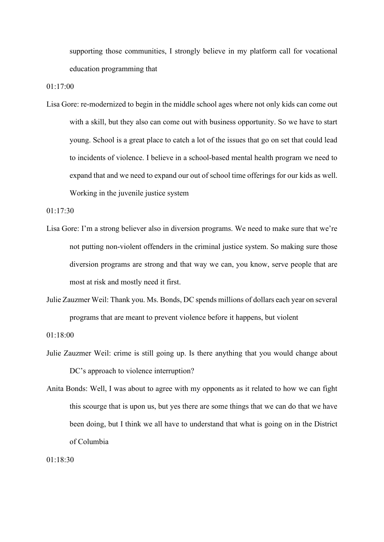supporting those communities, I strongly believe in my platform call for vocational education programming that

01:17:00

Lisa Gore: re-modernized to begin in the middle school ages where not only kids can come out with a skill, but they also can come out with business opportunity. So we have to start young. School is a great place to catch a lot of the issues that go on set that could lead to incidents of violence. I believe in a school-based mental health program we need to expand that and we need to expand our out of school time offerings for our kids as well. Working in the juvenile justice system

01:17:30

- Lisa Gore: I'm a strong believer also in diversion programs. We need to make sure that we're not putting non-violent offenders in the criminal justice system. So making sure those diversion programs are strong and that way we can, you know, serve people that are most at risk and mostly need it first.
- Julie Zauzmer Weil: Thank you. Ms. Bonds, DC spends millions of dollars each year on several programs that are meant to prevent violence before it happens, but violent

01:18:00

Julie Zauzmer Weil: crime is still going up. Is there anything that you would change about DC's approach to violence interruption?

Anita Bonds: Well, I was about to agree with my opponents as it related to how we can fight this scourge that is upon us, but yes there are some things that we can do that we have been doing, but I think we all have to understand that what is going on in the District of Columbia

01:18:30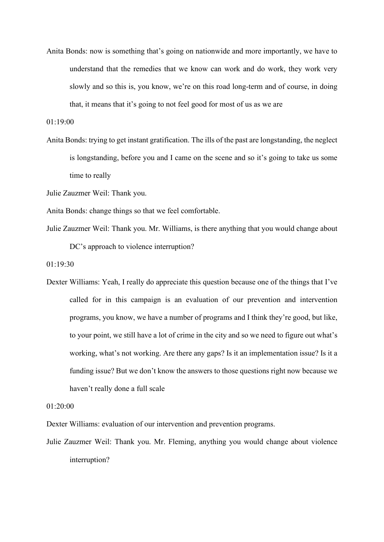Anita Bonds: now is something that's going on nationwide and more importantly, we have to understand that the remedies that we know can work and do work, they work very slowly and so this is, you know, we're on this road long-term and of course, in doing that, it means that it's going to not feel good for most of us as we are

01:19:00

- Anita Bonds: trying to get instant gratification. The ills of the past are longstanding, the neglect is longstanding, before you and I came on the scene and so it's going to take us some time to really
- Julie Zauzmer Weil: Thank you.
- Anita Bonds: change things so that we feel comfortable.
- Julie Zauzmer Weil: Thank you. Mr. Williams, is there anything that you would change about DC's approach to violence interruption?
- 01:19:30
- Dexter Williams: Yeah, I really do appreciate this question because one of the things that I've called for in this campaign is an evaluation of our prevention and intervention programs, you know, we have a number of programs and I think they're good, but like, to your point, we still have a lot of crime in the city and so we need to figure out what's working, what's not working. Are there any gaps? Is it an implementation issue? Is it a funding issue? But we don't know the answers to those questions right now because we haven't really done a full scale

01:20:00

Dexter Williams: evaluation of our intervention and prevention programs.

Julie Zauzmer Weil: Thank you. Mr. Fleming, anything you would change about violence interruption?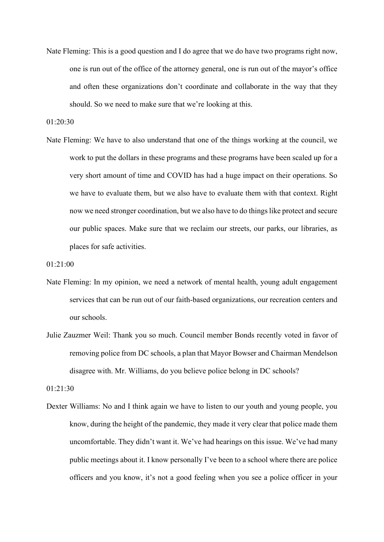Nate Fleming: This is a good question and I do agree that we do have two programs right now, one is run out of the office of the attorney general, one is run out of the mayor's office and often these organizations don't coordinate and collaborate in the way that they should. So we need to make sure that we're looking at this.

01:20:30

Nate Fleming: We have to also understand that one of the things working at the council, we work to put the dollars in these programs and these programs have been scaled up for a very short amount of time and COVID has had a huge impact on their operations. So we have to evaluate them, but we also have to evaluate them with that context. Right now we need stronger coordination, but we also have to do things like protect and secure our public spaces. Make sure that we reclaim our streets, our parks, our libraries, as places for safe activities.

```
01:21:00
```
- Nate Fleming: In my opinion, we need a network of mental health, young adult engagement services that can be run out of our faith-based organizations, our recreation centers and our schools.
- Julie Zauzmer Weil: Thank you so much. Council member Bonds recently voted in favor of removing police from DC schools, a plan that Mayor Bowser and Chairman Mendelson disagree with. Mr. Williams, do you believe police belong in DC schools?

01:21:30

Dexter Williams: No and I think again we have to listen to our youth and young people, you know, during the height of the pandemic, they made it very clear that police made them uncomfortable. They didn't want it. We've had hearings on this issue. We've had many public meetings about it. I know personally I've been to a school where there are police officers and you know, it's not a good feeling when you see a police officer in your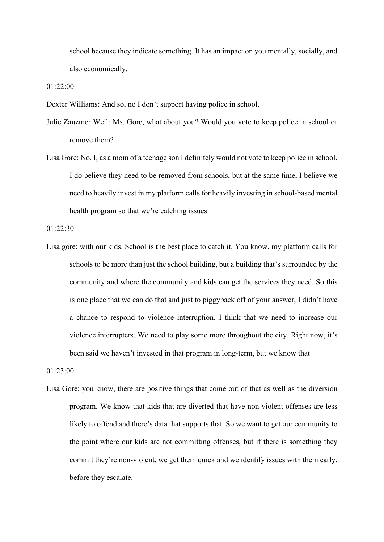school because they indicate something. It has an impact on you mentally, socially, and also economically.

01:22:00

Dexter Williams: And so, no I don't support having police in school.

- Julie Zauzmer Weil: Ms. Gore, what about you? Would you vote to keep police in school or remove them?
- Lisa Gore: No. I, as a mom of a teenage son I definitely would not vote to keep police in school. I do believe they need to be removed from schools, but at the same time, I believe we need to heavily invest in my platform calls for heavily investing in school-based mental health program so that we're catching issues

01:22:30

Lisa gore: with our kids. School is the best place to catch it. You know, my platform calls for schools to be more than just the school building, but a building that's surrounded by the community and where the community and kids can get the services they need. So this is one place that we can do that and just to piggyback off of your answer, I didn't have a chance to respond to violence interruption. I think that we need to increase our violence interrupters. We need to play some more throughout the city. Right now, it's been said we haven't invested in that program in long-term, but we know that

01:23:00

Lisa Gore: you know, there are positive things that come out of that as well as the diversion program. We know that kids that are diverted that have non-violent offenses are less likely to offend and there's data that supports that. So we want to get our community to the point where our kids are not committing offenses, but if there is something they commit they're non-violent, we get them quick and we identify issues with them early, before they escalate.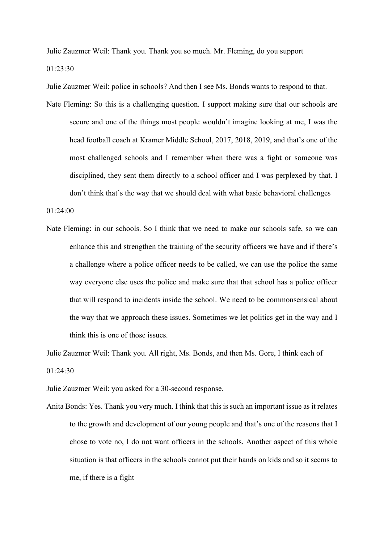Julie Zauzmer Weil: Thank you. Thank you so much. Mr. Fleming, do you support 01:23:30

Julie Zauzmer Weil: police in schools? And then I see Ms. Bonds wants to respond to that.

Nate Fleming: So this is a challenging question. I support making sure that our schools are secure and one of the things most people wouldn't imagine looking at me, I was the head football coach at Kramer Middle School, 2017, 2018, 2019, and that's one of the most challenged schools and I remember when there was a fight or someone was disciplined, they sent them directly to a school officer and I was perplexed by that. I don't think that's the way that we should deal with what basic behavioral challenges

01:24:00

Nate Fleming: in our schools. So I think that we need to make our schools safe, so we can enhance this and strengthen the training of the security officers we have and if there's a challenge where a police officer needs to be called, we can use the police the same way everyone else uses the police and make sure that that school has a police officer that will respond to incidents inside the school. We need to be commonsensical about the way that we approach these issues. Sometimes we let politics get in the way and I think this is one of those issues.

Julie Zauzmer Weil: Thank you. All right, Ms. Bonds, and then Ms. Gore, I think each of 01:24:30

Julie Zauzmer Weil: you asked for a 30-second response.

Anita Bonds: Yes. Thank you very much. I think that this is such an important issue as it relates to the growth and development of our young people and that's one of the reasons that I chose to vote no, I do not want officers in the schools. Another aspect of this whole situation is that officers in the schools cannot put their hands on kids and so it seems to me, if there is a fight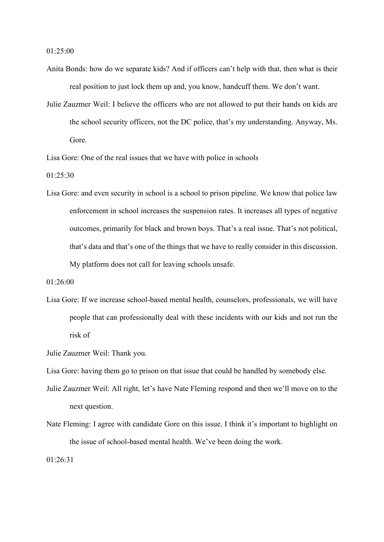01:25:00

- Anita Bonds: how do we separate kids? And if officers can't help with that, then what is their real position to just lock them up and, you know, handcuff them. We don't want.
- Julie Zauzmer Weil: I believe the officers who are not allowed to put their hands on kids are the school security officers, not the DC police, that's my understanding. Anyway, Ms. Gore.

Lisa Gore: One of the real issues that we have with police in schools

01:25:30

Lisa Gore: and even security in school is a school to prison pipeline. We know that police law enforcement in school increases the suspension rates. It increases all types of negative outcomes, primarily for black and brown boys. That's a real issue. That's not political, that's data and that's one of the things that we have to really consider in this discussion. My platform does not call for leaving schools unsafe.

01:26:00

Lisa Gore: If we increase school-based mental health, counselors, professionals, we will have people that can professionally deal with these incidents with our kids and not run the risk of

Julie Zauzmer Weil: Thank you.

Lisa Gore: having them go to prison on that issue that could be handled by somebody else.

- Julie Zauzmer Weil: All right, let's have Nate Fleming respond and then we'll move on to the next question.
- Nate Fleming: I agree with candidate Gore on this issue. I think it's important to highlight on the issue of school-based mental health. We've been doing the work.

01:26:31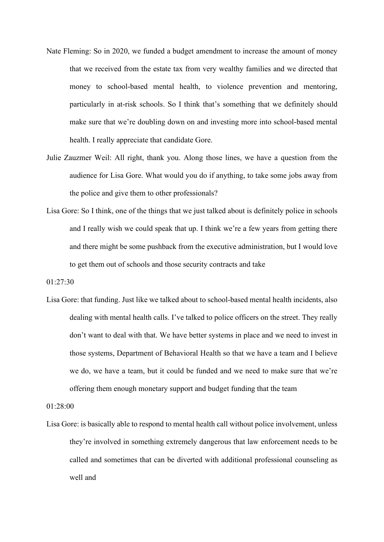- Nate Fleming: So in 2020, we funded a budget amendment to increase the amount of money that we received from the estate tax from very wealthy families and we directed that money to school-based mental health, to violence prevention and mentoring, particularly in at-risk schools. So I think that's something that we definitely should make sure that we're doubling down on and investing more into school-based mental health. I really appreciate that candidate Gore.
- Julie Zauzmer Weil: All right, thank you. Along those lines, we have a question from the audience for Lisa Gore. What would you do if anything, to take some jobs away from the police and give them to other professionals?
- Lisa Gore: So I think, one of the things that we just talked about is definitely police in schools and I really wish we could speak that up. I think we're a few years from getting there and there might be some pushback from the executive administration, but I would love to get them out of schools and those security contracts and take
- 01:27:30
- Lisa Gore: that funding. Just like we talked about to school-based mental health incidents, also dealing with mental health calls. I've talked to police officers on the street. They really don't want to deal with that. We have better systems in place and we need to invest in those systems, Department of Behavioral Health so that we have a team and I believe we do, we have a team, but it could be funded and we need to make sure that we're offering them enough monetary support and budget funding that the team

01:28:00

Lisa Gore: is basically able to respond to mental health call without police involvement, unless they're involved in something extremely dangerous that law enforcement needs to be called and sometimes that can be diverted with additional professional counseling as well and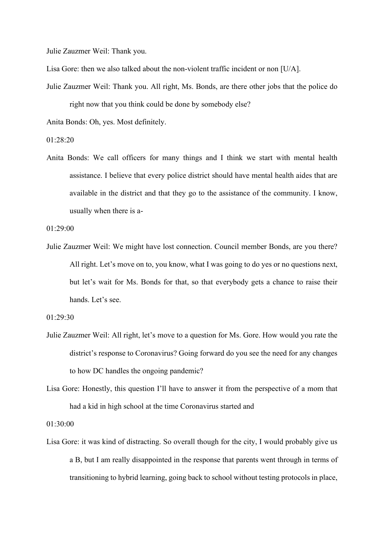Julie Zauzmer Weil: Thank you.

Lisa Gore: then we also talked about the non-violent traffic incident or non [U/A].

Julie Zauzmer Weil: Thank you. All right, Ms. Bonds, are there other jobs that the police do right now that you think could be done by somebody else?

Anita Bonds: Oh, yes. Most definitely.

01:28:20

Anita Bonds: We call officers for many things and I think we start with mental health assistance. I believe that every police district should have mental health aides that are available in the district and that they go to the assistance of the community. I know, usually when there is a-

01:29:00

Julie Zauzmer Weil: We might have lost connection. Council member Bonds, are you there? All right. Let's move on to, you know, what I was going to do yes or no questions next, but let's wait for Ms. Bonds for that, so that everybody gets a chance to raise their hands. Let's see.

01:29:30

- Julie Zauzmer Weil: All right, let's move to a question for Ms. Gore. How would you rate the district's response to Coronavirus? Going forward do you see the need for any changes to how DC handles the ongoing pandemic?
- Lisa Gore: Honestly, this question I'll have to answer it from the perspective of a mom that had a kid in high school at the time Coronavirus started and

01:30:00

Lisa Gore: it was kind of distracting. So overall though for the city, I would probably give us a B, but I am really disappointed in the response that parents went through in terms of transitioning to hybrid learning, going back to school without testing protocols in place,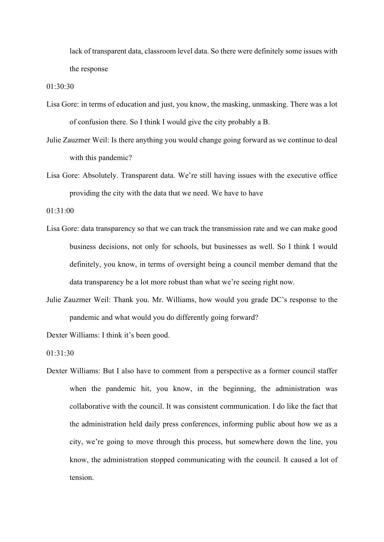lack of transparent data, classroom level data. So there were definitely some issues with the response

01:30:30

- Lisa Gore: in terms of education and just, you know, the masking, unmasking. There was a lot of confusion there. So I think I would give the city probably a B.
- Julie Zauzmer Weil: Is there anything you would change going forward as we continue to deal with this pandemic?
- Lisa Gore: Absolutely. Transparent data. We're still having issues with the executive office providing the city with the data that we need. We have to have

01:31:00

- Lisa Gore: data transparency so that we can track the transmission rate and we can make good business decisions, not only for schools, but businesses as well. So I think I would definitely, you know, in terms of oversight being a council member demand that the data transparency be a lot more robust than what we're seeing right now.
- Julie Zauzmer Weil: Thank you. Mr. Williams, how would you grade DC's response to the pandemic and what would you do differently going forward?

Dexter Williams: I think it's been good.

01:31:30

Dexter Williams: But I also have to comment from a perspective as a former council staffer when the pandemic hit, you know, in the beginning, the administration was collaborative with the council. It was consistent communication. I do like the fact that the administration held daily press conferences, informing public about how we as a city, we're going to move through this process, but somewhere down the line, you know, the administration stopped communicating with the council. It caused a lot of tension.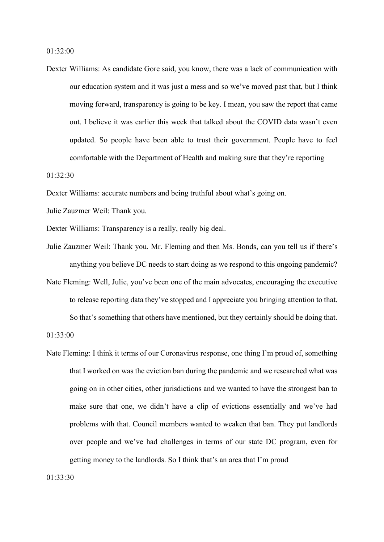Dexter Williams: As candidate Gore said, you know, there was a lack of communication with our education system and it was just a mess and so we've moved past that, but I think moving forward, transparency is going to be key. I mean, you saw the report that came out. I believe it was earlier this week that talked about the COVID data wasn't even updated. So people have been able to trust their government. People have to feel comfortable with the Department of Health and making sure that they're reporting

01:32:30

Dexter Williams: accurate numbers and being truthful about what's going on.

Julie Zauzmer Weil: Thank you.

Dexter Williams: Transparency is a really, really big deal.

- Julie Zauzmer Weil: Thank you. Mr. Fleming and then Ms. Bonds, can you tell us if there's anything you believe DC needs to start doing as we respond to this ongoing pandemic?
- Nate Fleming: Well, Julie, you've been one of the main advocates, encouraging the executive to release reporting data they've stopped and I appreciate you bringing attention to that.

So that's something that others have mentioned, but they certainly should be doing that.

01:33:00

Nate Fleming: I think it terms of our Coronavirus response, one thing I'm proud of, something that I worked on was the eviction ban during the pandemic and we researched what was going on in other cities, other jurisdictions and we wanted to have the strongest ban to make sure that one, we didn't have a clip of evictions essentially and we've had problems with that. Council members wanted to weaken that ban. They put landlords over people and we've had challenges in terms of our state DC program, even for getting money to the landlords. So I think that's an area that I'm proud

 $01.33.30$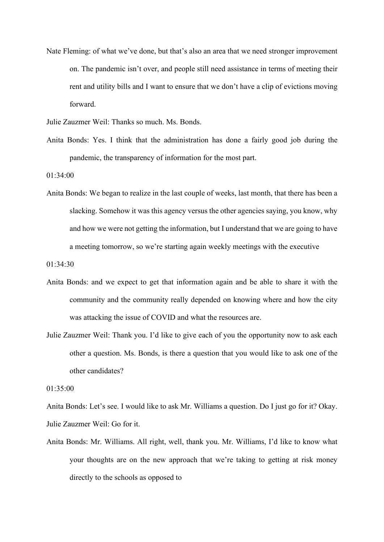Nate Fleming: of what we've done, but that's also an area that we need stronger improvement on. The pandemic isn't over, and people still need assistance in terms of meeting their rent and utility bills and I want to ensure that we don't have a clip of evictions moving forward.

Julie Zauzmer Weil: Thanks so much. Ms. Bonds.

Anita Bonds: Yes. I think that the administration has done a fairly good job during the pandemic, the transparency of information for the most part.

01:34:00

Anita Bonds: We began to realize in the last couple of weeks, last month, that there has been a slacking. Somehow it was this agency versus the other agencies saying, you know, why and how we were not getting the information, but I understand that we are going to have a meeting tomorrow, so we're starting again weekly meetings with the executive

01:34:30

- Anita Bonds: and we expect to get that information again and be able to share it with the community and the community really depended on knowing where and how the city was attacking the issue of COVID and what the resources are.
- Julie Zauzmer Weil: Thank you. I'd like to give each of you the opportunity now to ask each other a question. Ms. Bonds, is there a question that you would like to ask one of the other candidates?

01:35:00

Anita Bonds: Let's see. I would like to ask Mr. Williams a question. Do I just go for it? Okay. Julie Zauzmer Weil: Go for it.

Anita Bonds: Mr. Williams. All right, well, thank you. Mr. Williams, I'd like to know what your thoughts are on the new approach that we're taking to getting at risk money directly to the schools as opposed to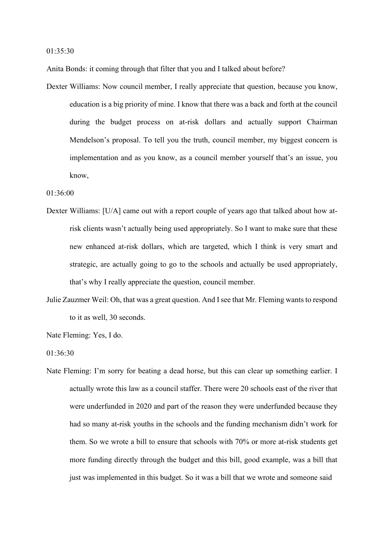01:35:30

Anita Bonds: it coming through that filter that you and I talked about before?

Dexter Williams: Now council member, I really appreciate that question, because you know, education is a big priority of mine. I know that there was a back and forth at the council during the budget process on at-risk dollars and actually support Chairman Mendelson's proposal. To tell you the truth, council member, my biggest concern is implementation and as you know, as a council member yourself that's an issue, you know,

01:36:00

- Dexter Williams: [U/A] came out with a report couple of years ago that talked about how atrisk clients wasn't actually being used appropriately. So I want to make sure that these new enhanced at-risk dollars, which are targeted, which I think is very smart and strategic, are actually going to go to the schools and actually be used appropriately, that's why I really appreciate the question, council member.
- Julie Zauzmer Weil: Oh, that was a great question. And I see that Mr. Fleming wants to respond to it as well, 30 seconds.

Nate Fleming: Yes, I do.

01:36:30

Nate Fleming: I'm sorry for beating a dead horse, but this can clear up something earlier. I actually wrote this law as a council staffer. There were 20 schools east of the river that were underfunded in 2020 and part of the reason they were underfunded because they had so many at-risk youths in the schools and the funding mechanism didn't work for them. So we wrote a bill to ensure that schools with 70% or more at-risk students get more funding directly through the budget and this bill, good example, was a bill that just was implemented in this budget. So it was a bill that we wrote and someone said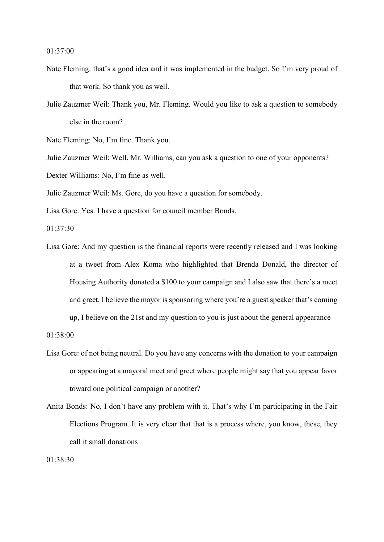- Nate Fleming: that's a good idea and it was implemented in the budget. So I'm very proud of that work. So thank you as well.
- Julie Zauzmer Weil: Thank you, Mr. Fleming. Would you like to ask a question to somebody else in the room?

Nate Fleming: No, I'm fine. Thank you.

Julie Zauzmer Weil: Well, Mr. Williams, can you ask a question to one of your opponents?

Dexter Williams: No, I'm fine as well.

Julie Zauzmer Weil: Ms. Gore, do you have a question for somebody.

Lisa Gore: Yes. I have a question for council member Bonds.

01:37:30

Lisa Gore: And my question is the financial reports were recently released and I was looking at a tweet from Alex Koma who highlighted that Brenda Donald, the director of Housing Authority donated a \$100 to your campaign and I also saw that there's a meet and greet, I believe the mayor is sponsoring where you're a guest speaker that's coming

up, I believe on the 21st and my question to you is just about the general appearance

01:38:00

- Lisa Gore: of not being neutral. Do you have any concerns with the donation to your campaign or appearing at a mayoral meet and greet where people might say that you appear favor toward one political campaign or another?
- Anita Bonds: No, I don't have any problem with it. That's why I'm participating in the Fair Elections Program. It is very clear that that is a process where, you know, these, they call it small donations

01:38:30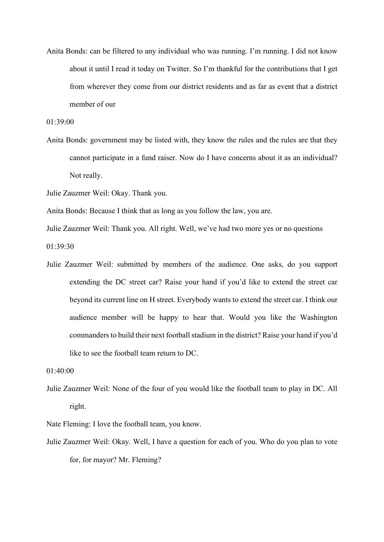Anita Bonds: can be filtered to any individual who was running. I'm running. I did not know about it until I read it today on Twitter. So I'm thankful for the contributions that I get from wherever they come from our district residents and as far as event that a district member of our

01:39:00

- Anita Bonds: government may be listed with, they know the rules and the rules are that they cannot participate in a fund raiser. Now do I have concerns about it as an individual? Not really.
- Julie Zauzmer Weil: Okay. Thank you.

Anita Bonds: Because I think that as long as you follow the law, you are.

Julie Zauzmer Weil: Thank you. All right. Well, we've had two more yes or no questions

01:39:30

Julie Zauzmer Weil: submitted by members of the audience. One asks, do you support extending the DC street car? Raise your hand if you'd like to extend the street car beyond its current line on H street. Everybody wants to extend the street car. I think our audience member will be happy to hear that. Would you like the Washington commanders to build their next football stadium in the district? Raise your hand if you'd like to see the football team return to DC.

01:40:00

Julie Zauzmer Weil: None of the four of you would like the football team to play in DC. All right.

Nate Fleming: I love the football team, you know.

Julie Zauzmer Weil: Okay. Well, I have a question for each of you. Who do you plan to vote for, for mayor? Mr. Fleming?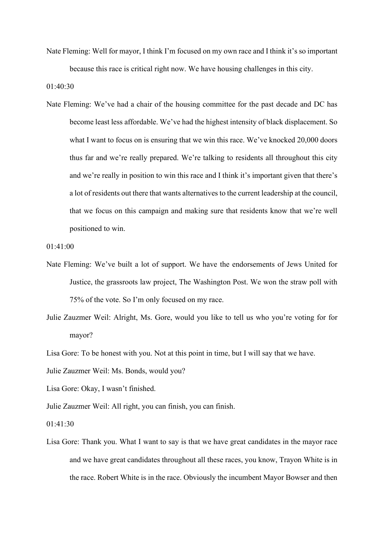Nate Fleming: Well for mayor, I think I'm focused on my own race and I think it's so important because this race is critical right now. We have housing challenges in this city.

01:40:30

Nate Fleming: We've had a chair of the housing committee for the past decade and DC has become least less affordable. We've had the highest intensity of black displacement. So what I want to focus on is ensuring that we win this race. We've knocked 20,000 doors thus far and we're really prepared. We're talking to residents all throughout this city and we're really in position to win this race and I think it's important given that there's a lot of residents out there that wants alternatives to the current leadership at the council, that we focus on this campaign and making sure that residents know that we're well positioned to win.

```
01:41:00
```
- Nate Fleming: We've built a lot of support. We have the endorsements of Jews United for Justice, the grassroots law project, The Washington Post. We won the straw poll with 75% of the vote. So I'm only focused on my race.
- Julie Zauzmer Weil: Alright, Ms. Gore, would you like to tell us who you're voting for for mayor?
- Lisa Gore: To be honest with you. Not at this point in time, but I will say that we have.

Julie Zauzmer Weil: Ms. Bonds, would you?

- Lisa Gore: Okay, I wasn't finished.
- Julie Zauzmer Weil: All right, you can finish, you can finish.
- 01:41:30
- Lisa Gore: Thank you. What I want to say is that we have great candidates in the mayor race and we have great candidates throughout all these races, you know, Trayon White is in the race. Robert White is in the race. Obviously the incumbent Mayor Bowser and then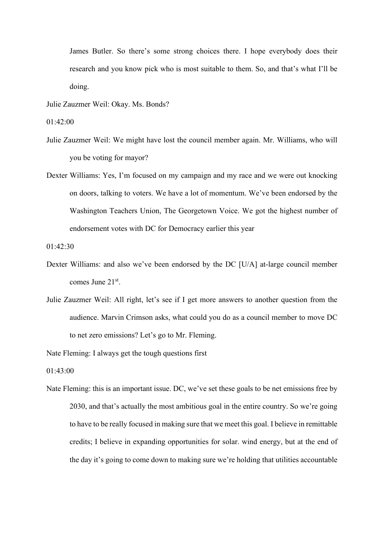James Butler. So there's some strong choices there. I hope everybody does their research and you know pick who is most suitable to them. So, and that's what I'll be doing.

Julie Zauzmer Weil: Okay. Ms. Bonds?

01:42:00

- Julie Zauzmer Weil: We might have lost the council member again. Mr. Williams, who will you be voting for mayor?
- Dexter Williams: Yes, I'm focused on my campaign and my race and we were out knocking on doors, talking to voters. We have a lot of momentum. We've been endorsed by the Washington Teachers Union, The Georgetown Voice. We got the highest number of endorsement votes with DC for Democracy earlier this year

01:42:30

- Dexter Williams: and also we've been endorsed by the DC [U/A] at-large council member comes June 21st.
- Julie Zauzmer Weil: All right, let's see if I get more answers to another question from the audience. Marvin Crimson asks, what could you do as a council member to move DC to net zero emissions? Let's go to Mr. Fleming.

Nate Fleming: I always get the tough questions first

01:43:00

Nate Fleming: this is an important issue. DC, we've set these goals to be net emissions free by 2030, and that's actually the most ambitious goal in the entire country. So we're going to have to be really focused in making sure that we meet this goal. I believe in remittable credits; I believe in expanding opportunities for solar. wind energy, but at the end of the day it's going to come down to making sure we're holding that utilities accountable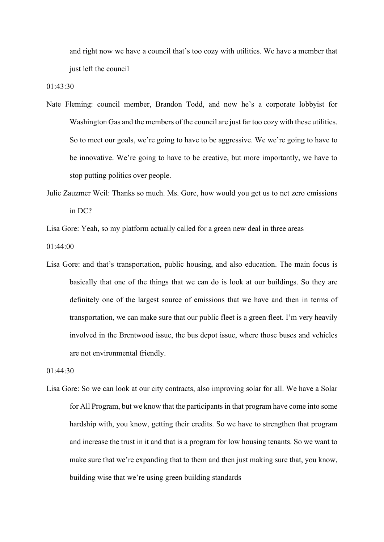and right now we have a council that's too cozy with utilities. We have a member that just left the council

01:43:30

- Nate Fleming: council member, Brandon Todd, and now he's a corporate lobbyist for Washington Gas and the members of the council are just far too cozy with these utilities. So to meet our goals, we're going to have to be aggressive. We we're going to have to be innovative. We're going to have to be creative, but more importantly, we have to stop putting politics over people.
- Julie Zauzmer Weil: Thanks so much. Ms. Gore, how would you get us to net zero emissions in DC?

Lisa Gore: Yeah, so my platform actually called for a green new deal in three areas

01:44:00

Lisa Gore: and that's transportation, public housing, and also education. The main focus is basically that one of the things that we can do is look at our buildings. So they are definitely one of the largest source of emissions that we have and then in terms of transportation, we can make sure that our public fleet is a green fleet. I'm very heavily involved in the Brentwood issue, the bus depot issue, where those buses and vehicles are not environmental friendly.

01:44:30

Lisa Gore: So we can look at our city contracts, also improving solar for all. We have a Solar for All Program, but we know that the participants in that program have come into some hardship with, you know, getting their credits. So we have to strengthen that program and increase the trust in it and that is a program for low housing tenants. So we want to make sure that we're expanding that to them and then just making sure that, you know, building wise that we're using green building standards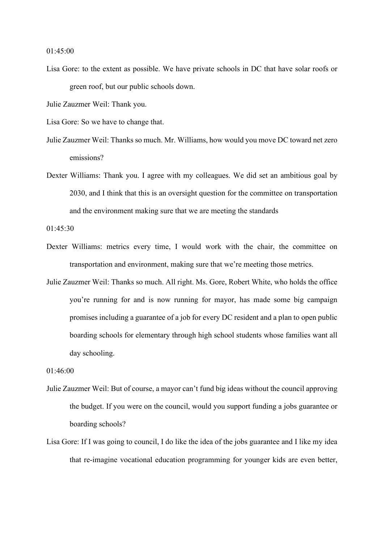01:45:00

Lisa Gore: to the extent as possible. We have private schools in DC that have solar roofs or green roof, but our public schools down.

Julie Zauzmer Weil: Thank you.

Lisa Gore: So we have to change that.

Julie Zauzmer Weil: Thanks so much. Mr. Williams, how would you move DC toward net zero emissions?

Dexter Williams: Thank you. I agree with my colleagues. We did set an ambitious goal by 2030, and I think that this is an oversight question for the committee on transportation and the environment making sure that we are meeting the standards

01:45:30

- Dexter Williams: metrics every time, I would work with the chair, the committee on transportation and environment, making sure that we're meeting those metrics.
- Julie Zauzmer Weil: Thanks so much. All right. Ms. Gore, Robert White, who holds the office you're running for and is now running for mayor, has made some big campaign promises including a guarantee of a job for every DC resident and a plan to open public boarding schools for elementary through high school students whose families want all day schooling.

01:46:00

- Julie Zauzmer Weil: But of course, a mayor can't fund big ideas without the council approving the budget. If you were on the council, would you support funding a jobs guarantee or boarding schools?
- Lisa Gore: If I was going to council, I do like the idea of the jobs guarantee and I like my idea that re-imagine vocational education programming for younger kids are even better,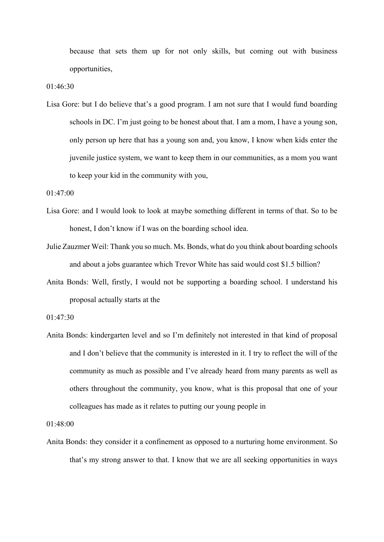because that sets them up for not only skills, but coming out with business opportunities,

01:46:30

Lisa Gore: but I do believe that's a good program. I am not sure that I would fund boarding schools in DC. I'm just going to be honest about that. I am a mom, I have a young son, only person up here that has a young son and, you know, I know when kids enter the juvenile justice system, we want to keep them in our communities, as a mom you want to keep your kid in the community with you,

01:47:00

- Lisa Gore: and I would look to look at maybe something different in terms of that. So to be honest, I don't know if I was on the boarding school idea.
- Julie Zauzmer Weil: Thank you so much. Ms. Bonds, what do you think about boarding schools and about a jobs guarantee which Trevor White has said would cost \$1.5 billion?
- Anita Bonds: Well, firstly, I would not be supporting a boarding school. I understand his proposal actually starts at the

01:47:30

Anita Bonds: kindergarten level and so I'm definitely not interested in that kind of proposal and I don't believe that the community is interested in it. I try to reflect the will of the community as much as possible and I've already heard from many parents as well as others throughout the community, you know, what is this proposal that one of your colleagues has made as it relates to putting our young people in

01:48:00

Anita Bonds: they consider it a confinement as opposed to a nurturing home environment. So that's my strong answer to that. I know that we are all seeking opportunities in ways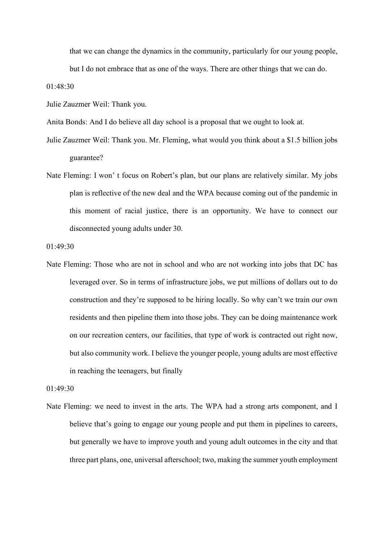that we can change the dynamics in the community, particularly for our young people,

but I do not embrace that as one of the ways. There are other things that we can do.

01:48:30

Julie Zauzmer Weil: Thank you.

Anita Bonds: And I do believe all day school is a proposal that we ought to look at.

Julie Zauzmer Weil: Thank you. Mr. Fleming, what would you think about a \$1.5 billion jobs guarantee?

Nate Fleming: I won' t focus on Robert's plan, but our plans are relatively similar. My jobs plan is reflective of the new deal and the WPA because coming out of the pandemic in this moment of racial justice, there is an opportunity. We have to connect our disconnected young adults under 30.

01:49:30

Nate Fleming: Those who are not in school and who are not working into jobs that DC has leveraged over. So in terms of infrastructure jobs, we put millions of dollars out to do construction and they're supposed to be hiring locally. So why can't we train our own residents and then pipeline them into those jobs. They can be doing maintenance work on our recreation centers, our facilities, that type of work is contracted out right now, but also community work. I believe the younger people, young adults are most effective in reaching the teenagers, but finally

01:49:30

Nate Fleming: we need to invest in the arts. The WPA had a strong arts component, and I believe that's going to engage our young people and put them in pipelines to careers, but generally we have to improve youth and young adult outcomes in the city and that three part plans, one, universal afterschool; two, making the summer youth employment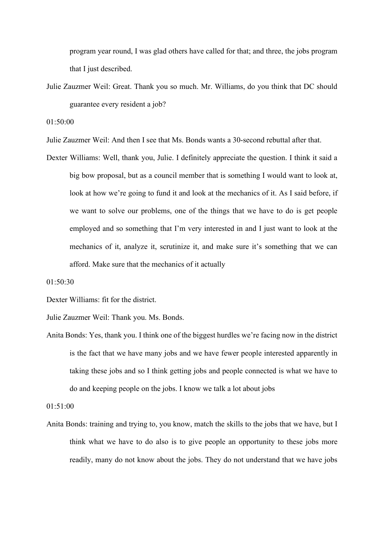program year round, I was glad others have called for that; and three, the jobs program that I just described.

Julie Zauzmer Weil: Great. Thank you so much. Mr. Williams, do you think that DC should guarantee every resident a job?

01:50:00

Julie Zauzmer Weil: And then I see that Ms. Bonds wants a 30-second rebuttal after that.

Dexter Williams: Well, thank you, Julie. I definitely appreciate the question. I think it said a big bow proposal, but as a council member that is something I would want to look at, look at how we're going to fund it and look at the mechanics of it. As I said before, if we want to solve our problems, one of the things that we have to do is get people employed and so something that I'm very interested in and I just want to look at the mechanics of it, analyze it, scrutinize it, and make sure it's something that we can afford. Make sure that the mechanics of it actually

01:50:30

Dexter Williams: fit for the district.

Julie Zauzmer Weil: Thank you. Ms. Bonds.

Anita Bonds: Yes, thank you. I think one of the biggest hurdles we're facing now in the district is the fact that we have many jobs and we have fewer people interested apparently in taking these jobs and so I think getting jobs and people connected is what we have to do and keeping people on the jobs. I know we talk a lot about jobs

01:51:00

Anita Bonds: training and trying to, you know, match the skills to the jobs that we have, but I think what we have to do also is to give people an opportunity to these jobs more readily, many do not know about the jobs. They do not understand that we have jobs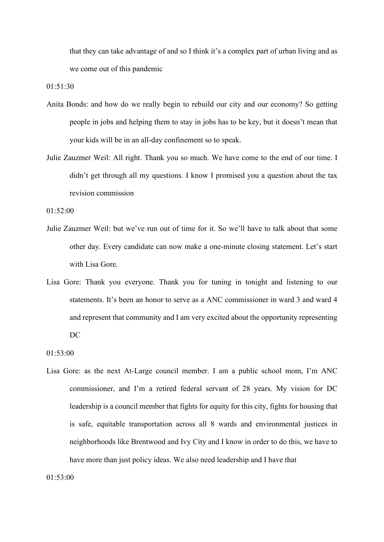that they can take advantage of and so I think it's a complex part of urban living and as we come out of this pandemic

01:51:30

- Anita Bonds: and how do we really begin to rebuild our city and our economy? So getting people in jobs and helping them to stay in jobs has to be key, but it doesn't mean that your kids will be in an all-day confinement so to speak.
- Julie Zauzmer Weil: All right. Thank you so much. We have come to the end of our time. I didn't get through all my questions. I know I promised you a question about the tax revision commission

01:52:00

- Julie Zauzmer Weil: but we've run out of time for it. So we'll have to talk about that some other day. Every candidate can now make a one-minute closing statement. Let's start with Lisa Gore.
- Lisa Gore: Thank you everyone. Thank you for tuning in tonight and listening to our statements. It's been an honor to serve as a ANC commissioner in ward 3 and ward 4 and represent that community and I am very excited about the opportunity representing DC

Lisa Gore: as the next At-Large council member. I am a public school mom, I'm ANC commissioner, and I'm a retired federal servant of 28 years. My vision for DC leadership is a council member that fights for equity for this city, fights for housing that is safe, equitable transportation across all 8 wards and environmental justices in neighborhoods like Brentwood and Ivy City and I know in order to do this, we have to have more than just policy ideas. We also need leadership and I have that

 $01.53 \cdot 00$ 

<sup>01:53:00</sup>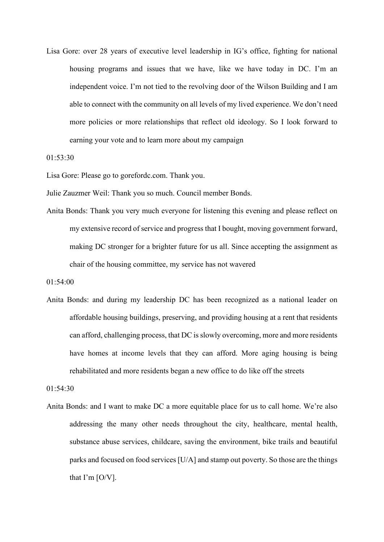Lisa Gore: over 28 years of executive level leadership in IG's office, fighting for national housing programs and issues that we have, like we have today in DC. I'm an independent voice. I'm not tied to the revolving door of the Wilson Building and I am able to connect with the community on all levels of my lived experience. We don't need more policies or more relationships that reflect old ideology. So I look forward to earning your vote and to learn more about my campaign

01:53:30

Lisa Gore: Please go to gorefordc.com. Thank you.

Julie Zauzmer Weil: Thank you so much. Council member Bonds.

Anita Bonds: Thank you very much everyone for listening this evening and please reflect on my extensive record of service and progress that I bought, moving government forward, making DC stronger for a brighter future for us all. Since accepting the assignment as chair of the housing committee, my service has not wavered

```
01:54:00
```
Anita Bonds: and during my leadership DC has been recognized as a national leader on affordable housing buildings, preserving, and providing housing at a rent that residents can afford, challenging process, that DC is slowly overcoming, more and more residents have homes at income levels that they can afford. More aging housing is being rehabilitated and more residents began a new office to do like off the streets

01:54:30

Anita Bonds: and I want to make DC a more equitable place for us to call home. We're also addressing the many other needs throughout the city, healthcare, mental health, substance abuse services, childcare, saving the environment, bike trails and beautiful parks and focused on food services [U/A] and stamp out poverty. So those are the things that I'm [O/V].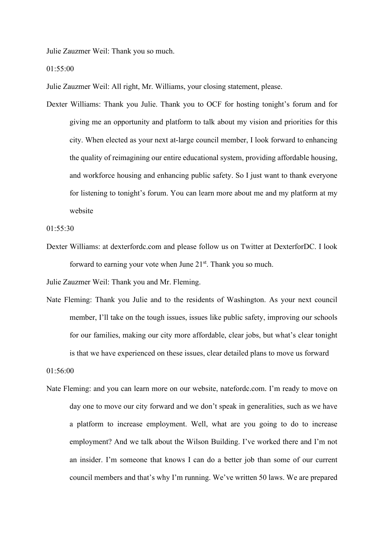Julie Zauzmer Weil: Thank you so much.

01:55:00

Julie Zauzmer Weil: All right, Mr. Williams, your closing statement, please.

Dexter Williams: Thank you Julie. Thank you to OCF for hosting tonight's forum and for giving me an opportunity and platform to talk about my vision and priorities for this city. When elected as your next at-large council member, I look forward to enhancing the quality of reimagining our entire educational system, providing affordable housing, and workforce housing and enhancing public safety. So I just want to thank everyone for listening to tonight's forum. You can learn more about me and my platform at my website

01:55:30

Dexter Williams: at dexterfordc.com and please follow us on Twitter at DexterforDC. I look forward to earning your vote when June  $21<sup>st</sup>$ . Thank you so much.

Julie Zauzmer Weil: Thank you and Mr. Fleming.

Nate Fleming: Thank you Julie and to the residents of Washington. As your next council member, I'll take on the tough issues, issues like public safety, improving our schools for our families, making our city more affordable, clear jobs, but what's clear tonight is that we have experienced on these issues, clear detailed plans to move us forward

01:56:00

Nate Fleming: and you can learn more on our website, natefordc.com. I'm ready to move on day one to move our city forward and we don't speak in generalities, such as we have a platform to increase employment. Well, what are you going to do to increase employment? And we talk about the Wilson Building. I've worked there and I'm not an insider. I'm someone that knows I can do a better job than some of our current council members and that's why I'm running. We've written 50 laws. We are prepared